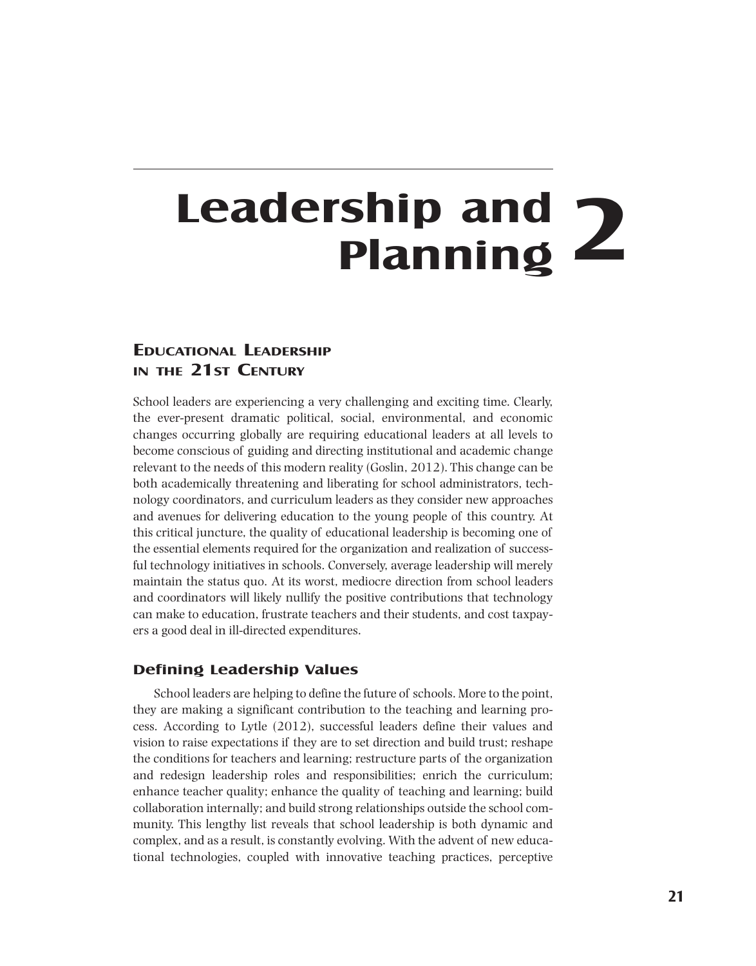# **2 Leadership and Planning**

## **Educational Leadership in the 21st Century**

School leaders are experiencing a very challenging and exciting time. Clearly, the ever-present dramatic political, social, environmental, and economic changes occurring globally are requiring educational leaders at all levels to become conscious of guiding and directing institutional and academic change relevant to the needs of this modern reality (Goslin, 2012). This change can be both academically threatening and liberating for school administrators, technology coordinators, and curriculum leaders as they consider new approaches and avenues for delivering education to the young people of this country. At this critical juncture, the quality of educational leadership is becoming one of the essential elements required for the organization and realization of successful technology initiatives in schools. Conversely, average leadership will merely maintain the status quo. At its worst, mediocre direction from school leaders and coordinators will likely nullify the positive contributions that technology can make to education, frustrate teachers and their students, and cost taxpayers a good deal in ill-directed expenditures.

## **Defining Leadership Values**

School leaders are helping to define the future of schools. More to the point, they are making a significant contribution to the teaching and learning process. According to Lytle (2012), successful leaders define their values and vision to raise expectations if they are to set direction and build trust; reshape the conditions for teachers and learning; restructure parts of the organization and redesign leadership roles and responsibilities; enrich the curriculum; enhance teacher quality; enhance the quality of teaching and learning; build collaboration internally; and build strong relationships outside the school community. This lengthy list reveals that school leadership is both dynamic and complex, and as a result, is constantly evolving. With the advent of new educational technologies, coupled with innovative teaching practices, perceptive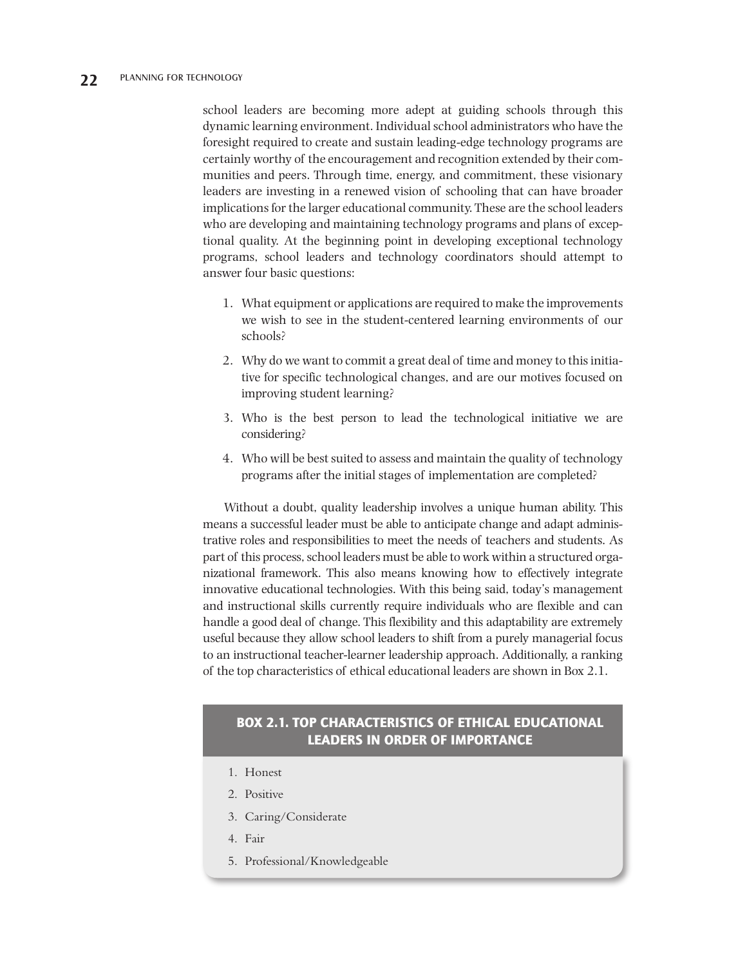#### 22 PLANNING FOR TECHNOLOGY

school leaders are becoming more adept at guiding schools through this dynamic learning environment. Individual school administrators who have the foresight required to create and sustain leading-edge technology programs are certainly worthy of the encouragement and recognition extended by their communities and peers. Through time, energy, and commitment, these visionary leaders are investing in a renewed vision of schooling that can have broader implications for the larger educational community. These are the school leaders who are developing and maintaining technology programs and plans of exceptional quality. At the beginning point in developing exceptional technology programs, school leaders and technology coordinators should attempt to answer four basic questions:

- 1. What equipment or applications are required to make the improvements we wish to see in the student-centered learning environments of our schools?
- 2. Why do we want to commit a great deal of time and money to this initiative for specific technological changes, and are our motives focused on improving student learning?
- 3. Who is the best person to lead the technological initiative we are considering?
- 4. Who will be best suited to assess and maintain the quality of technology programs after the initial stages of implementation are completed?

Without a doubt, quality leadership involves a unique human ability. This means a successful leader must be able to anticipate change and adapt administrative roles and responsibilities to meet the needs of teachers and students. As part of this process, school leaders must be able to work within a structured organizational framework. This also means knowing how to effectively integrate innovative educational technologies. With this being said, today's management and instructional skills currently require individuals who are flexible and can handle a good deal of change. This flexibility and this adaptability are extremely useful because they allow school leaders to shift from a purely managerial focus to an instructional teacher-learner leadership approach. Additionally, a ranking of the top characteristics of ethical educational leaders are shown in Box 2.1.

## BOX 2.1. TOP CHARACTERISTICS OF ETHICAL EDUCATIONAL LEADERS IN ORDER OF IMPORTANCE

- 1. Honest
- 2. Positive
- 3. Caring/Considerate
- 4. Fair
- 5. Professional/Knowledgeable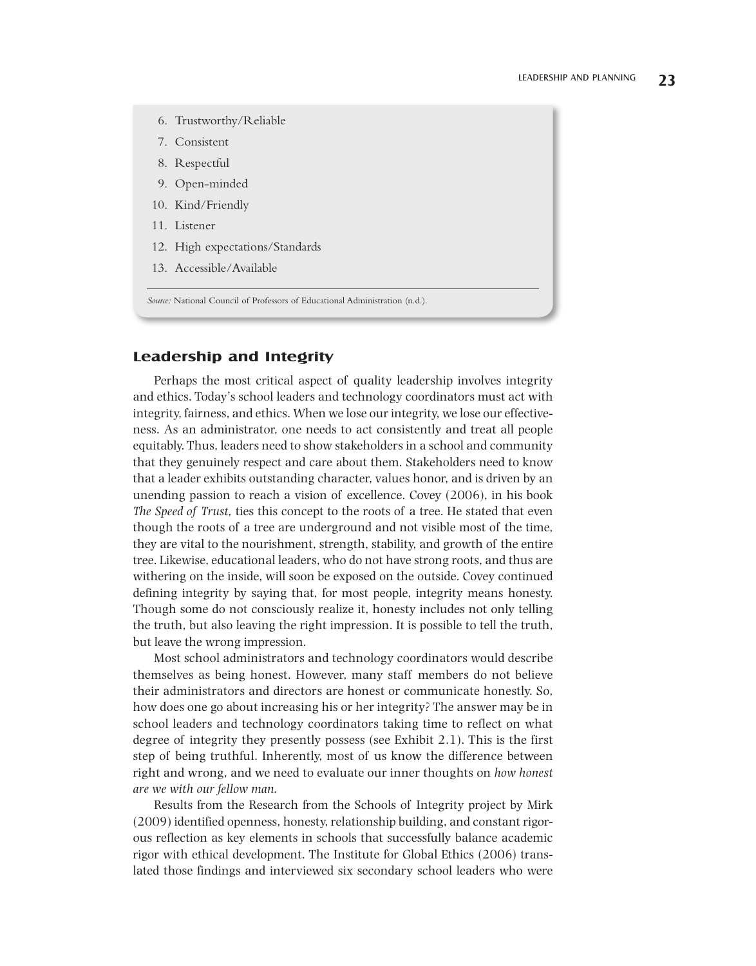- 6. Trustworthy/Reliable
- 7. Consistent
- 8. Respectful
- 9. Open-minded
- 10. Kind/Friendly
- 11. Listener
- 12. High expectations/Standards
- 13. Accessible/Available

*Source:* National Council of Professors of Educational Administration (n.d.).

#### **Leadership and Integrity**

Perhaps the most critical aspect of quality leadership involves integrity and ethics. Today's school leaders and technology coordinators must act with integrity, fairness, and ethics. When we lose our integrity, we lose our effectiveness. As an administrator, one needs to act consistently and treat all people equitably. Thus, leaders need to show stakeholders in a school and community that they genuinely respect and care about them. Stakeholders need to know that a leader exhibits outstanding character, values honor, and is driven by an unending passion to reach a vision of excellence. Covey (2006), in his book *The Speed of Trust,* ties this concept to the roots of a tree. He stated that even though the roots of a tree are underground and not visible most of the time, they are vital to the nourishment, strength, stability, and growth of the entire tree. Likewise, educational leaders, who do not have strong roots, and thus are withering on the inside, will soon be exposed on the outside. Covey continued defining integrity by saying that, for most people, integrity means honesty. Though some do not consciously realize it, honesty includes not only telling the truth, but also leaving the right impression. It is possible to tell the truth, but leave the wrong impression.

Most school administrators and technology coordinators would describe themselves as being honest. However, many staff members do not believe their administrators and directors are honest or communicate honestly. So, how does one go about increasing his or her integrity? The answer may be in school leaders and technology coordinators taking time to reflect on what degree of integrity they presently possess (see Exhibit 2.1). This is the first step of being truthful. Inherently, most of us know the difference between right and wrong, and we need to evaluate our inner thoughts on *how honest are we with our fellow man.*

Results from the Research from the Schools of Integrity project by Mirk (2009) identified openness, honesty, relationship building, and constant rigorous reflection as key elements in schools that successfully balance academic rigor with ethical development. The Institute for Global Ethics (2006) translated those findings and interviewed six secondary school leaders who were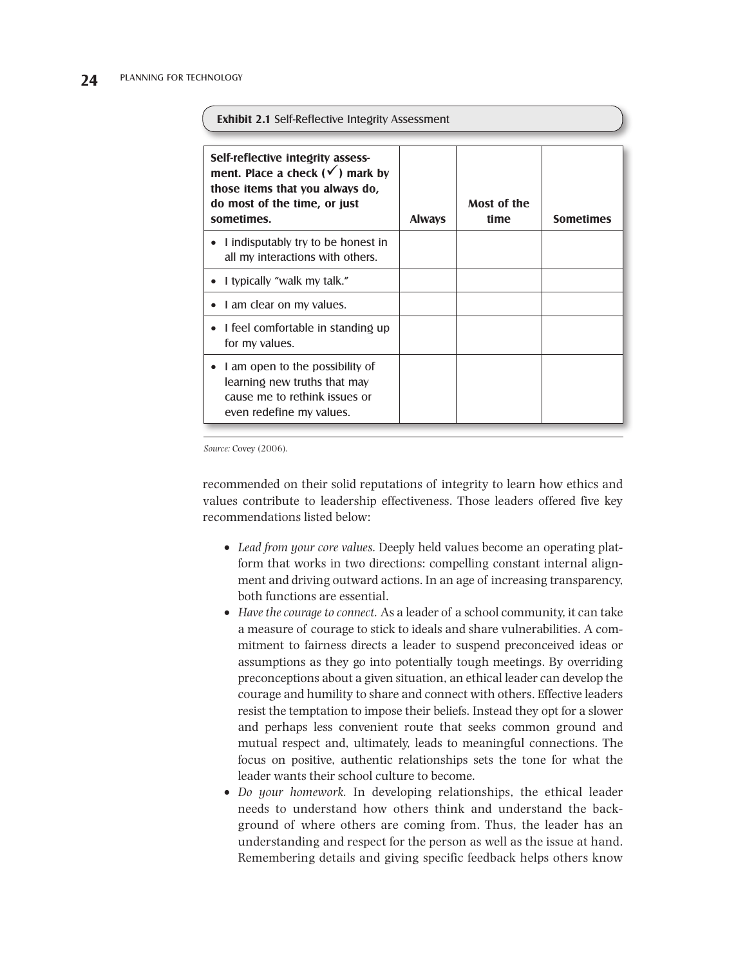| Exhibit 2.1 Self-Reflective Integrity Assessment                                                                                                                   |               |                     |                  |  |
|--------------------------------------------------------------------------------------------------------------------------------------------------------------------|---------------|---------------------|------------------|--|
| Self-reflective integrity assess-<br>ment. Place a check ( $\checkmark$ ) mark by<br>those items that you always do,<br>do most of the time, or just<br>sometimes. | <b>Always</b> | Most of the<br>time | <b>Sometimes</b> |  |
| I indisputably try to be honest in<br>all my interactions with others.                                                                                             |               |                     |                  |  |
| I typically "walk my talk."                                                                                                                                        |               |                     |                  |  |
| I am clear on my values.                                                                                                                                           |               |                     |                  |  |
| I feel comfortable in standing up<br>for my values.                                                                                                                |               |                     |                  |  |
| I am open to the possibility of<br>learning new truths that may<br>cause me to rethink issues or<br>even redefine my values.                                       |               |                     |                  |  |

*Source:* Covey (2006).

recommended on their solid reputations of integrity to learn how ethics and values contribute to leadership effectiveness. Those leaders offered five key recommendations listed below:

- Lead from your core values. Deeply held values become an operating platform that works in two directions: compelling constant internal alignment and driving outward actions. In an age of increasing transparency, both functions are essential.
- Have the courage to connect. As a leader of a school community, it can take a measure of courage to stick to ideals and share vulnerabilities. A commitment to fairness directs a leader to suspend preconceived ideas or assumptions as they go into potentially tough meetings. By overriding preconceptions about a given situation, an ethical leader can develop the courage and humility to share and connect with others. Effective leaders resist the temptation to impose their beliefs. Instead they opt for a slower and perhaps less convenient route that seeks common ground and mutual respect and, ultimately, leads to meaningful connections. The focus on positive, authentic relationships sets the tone for what the leader wants their school culture to become.
- *Do your homework*. In developing relationships, the ethical leader needs to understand how others think and understand the background of where others are coming from. Thus, the leader has an understanding and respect for the person as well as the issue at hand. Remembering details and giving specific feedback helps others know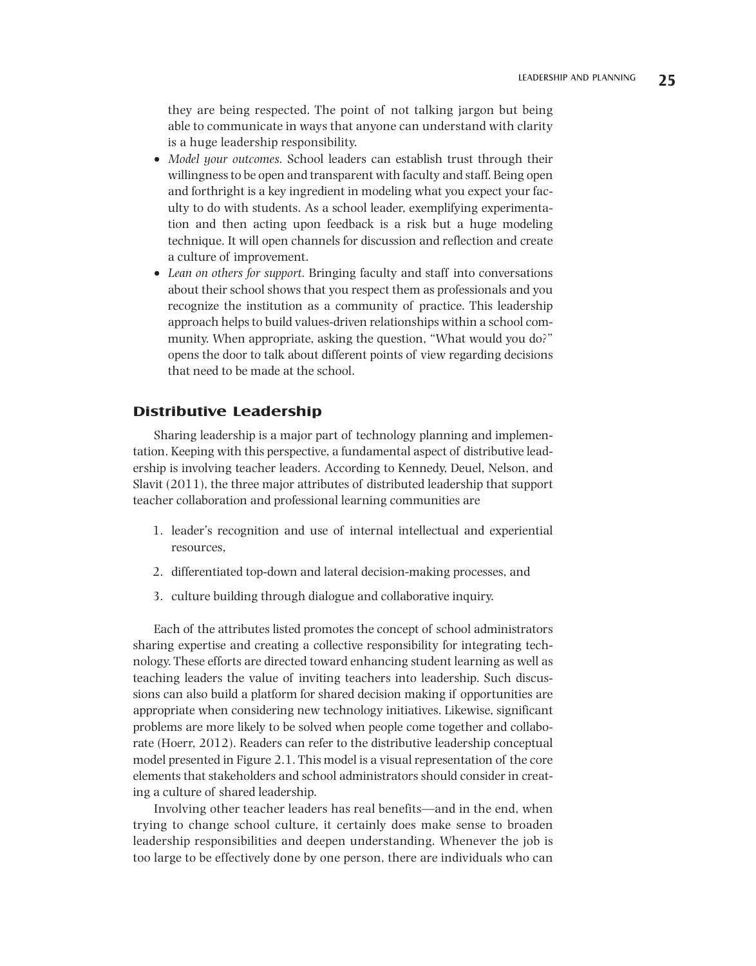they are being respected. The point of not talking jargon but being able to communicate in ways that anyone can understand with clarity is a huge leadership responsibility.

- *Model your outcomes.* School leaders can establish trust through their willingness to be open and transparent with faculty and staff. Being open and forthright is a key ingredient in modeling what you expect your faculty to do with students. As a school leader, exemplifying experimentation and then acting upon feedback is a risk but a huge modeling technique. It will open channels for discussion and reflection and create a culture of improvement.
- Lean on others for support. Bringing faculty and staff into conversations about their school shows that you respect them as professionals and you recognize the institution as a community of practice. This leadership approach helps to build values-driven relationships within a school community. When appropriate, asking the question, "What would you do?" opens the door to talk about different points of view regarding decisions that need to be made at the school.

#### **Distributive Leadership**

Sharing leadership is a major part of technology planning and implementation. Keeping with this perspective, a fundamental aspect of distributive leadership is involving teacher leaders. According to Kennedy, Deuel, Nelson, and Slavit (2011), the three major attributes of distributed leadership that support teacher collaboration and professional learning communities are

- 1. leader's recognition and use of internal intellectual and experiential resources,
- 2. differentiated top-down and lateral decision-making processes, and
- 3. culture building through dialogue and collaborative inquiry.

Each of the attributes listed promotes the concept of school administrators sharing expertise and creating a collective responsibility for integrating technology. These efforts are directed toward enhancing student learning as well as teaching leaders the value of inviting teachers into leadership. Such discussions can also build a platform for shared decision making if opportunities are appropriate when considering new technology initiatives. Likewise, significant problems are more likely to be solved when people come together and collaborate (Hoerr, 2012). Readers can refer to the distributive leadership conceptual model presented in Figure 2.1. This model is a visual representation of the core elements that stakeholders and school administrators should consider in creating a culture of shared leadership.

Involving other teacher leaders has real benefits—and in the end, when trying to change school culture, it certainly does make sense to broaden leadership responsibilities and deepen understanding. Whenever the job is too large to be effectively done by one person, there are individuals who can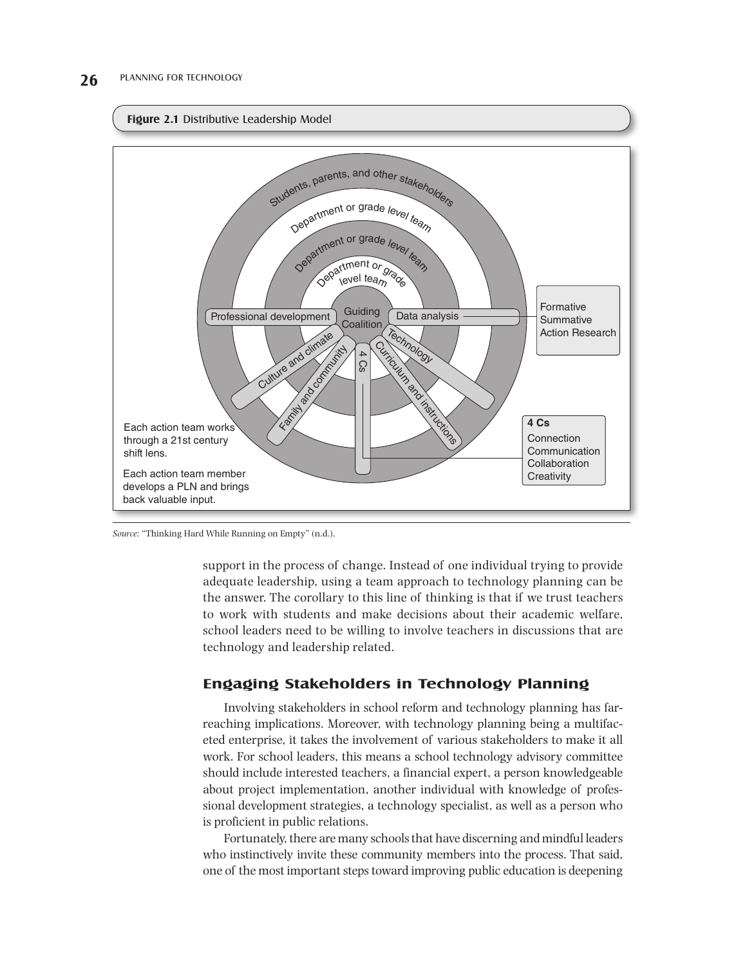



*Source:* "Thinking Hard While Running on Empty" (n.d.).

support in the process of change. Instead of one individual trying to provide adequate leadership, using a team approach to technology planning can be the answer. The corollary to this line of thinking is that if we trust teachers to work with students and make decisions about their academic welfare, school leaders need to be willing to involve teachers in discussions that are technology and leadership related.

## **Engaging Stakeholders in Technology Planning**

Involving stakeholders in school reform and technology planning has farreaching implications. Moreover, with technology planning being a multifaceted enterprise, it takes the involvement of various stakeholders to make it all work. For school leaders, this means a school technology advisory committee should include interested teachers, a financial expert, a person knowledgeable about project implementation, another individual with knowledge of professional development strategies, a technology specialist, as well as a person who is proficient in public relations.

Fortunately, there are many schools that have discerning and mindful leaders who instinctively invite these community members into the process. That said, one of the most important steps toward improving public education is deepening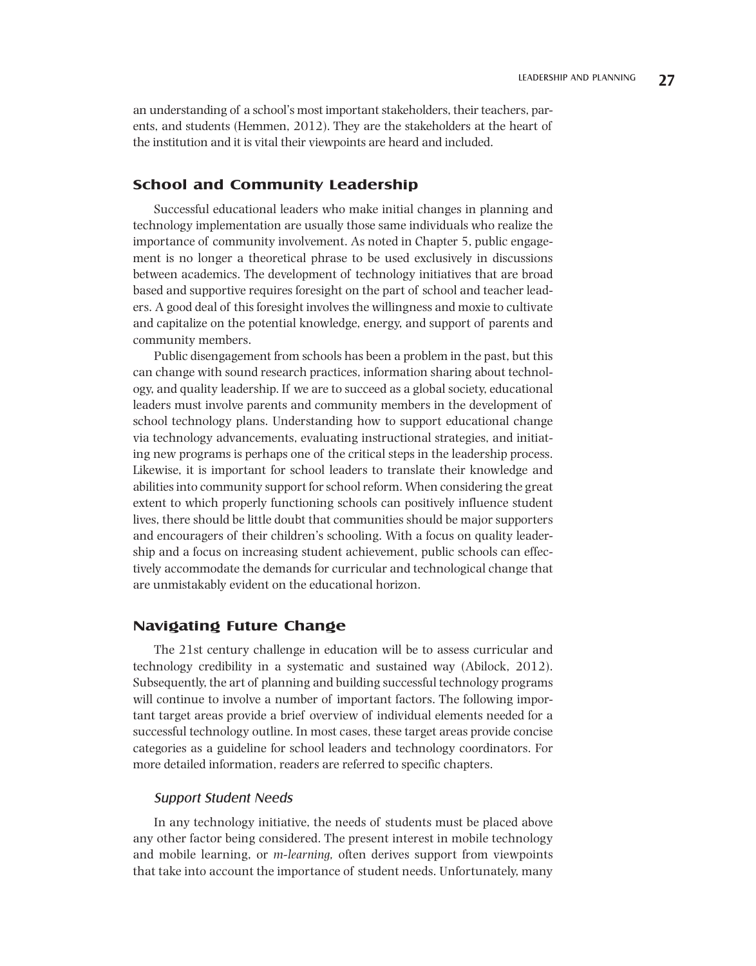an understanding of a school's most important stakeholders, their teachers, parents, and students (Hemmen, 2012). They are the stakeholders at the heart of the institution and it is vital their viewpoints are heard and included.

#### **School and Community Leadership**

Successful educational leaders who make initial changes in planning and technology implementation are usually those same individuals who realize the importance of community involvement. As noted in Chapter 5, public engagement is no longer a theoretical phrase to be used exclusively in discussions between academics. The development of technology initiatives that are broad based and supportive requires foresight on the part of school and teacher leaders. A good deal of this foresight involves the willingness and moxie to cultivate and capitalize on the potential knowledge, energy, and support of parents and community members.

Public disengagement from schools has been a problem in the past, but this can change with sound research practices, information sharing about technology, and quality leadership. If we are to succeed as a global society, educational leaders must involve parents and community members in the development of school technology plans. Understanding how to support educational change via technology advancements, evaluating instructional strategies, and initiating new programs is perhaps one of the critical steps in the leadership process. Likewise, it is important for school leaders to translate their knowledge and abilities into community support for school reform. When considering the great extent to which properly functioning schools can positively influence student lives, there should be little doubt that communities should be major supporters and encouragers of their children's schooling. With a focus on quality leadership and a focus on increasing student achievement, public schools can effectively accommodate the demands for curricular and technological change that are unmistakably evident on the educational horizon.

#### **Navigating Future Change**

The 21st century challenge in education will be to assess curricular and technology credibility in a systematic and sustained way (Abilock, 2012). Subsequently, the art of planning and building successful technology programs will continue to involve a number of important factors. The following important target areas provide a brief overview of individual elements needed for a successful technology outline. In most cases, these target areas provide concise categories as a guideline for school leaders and technology coordinators. For more detailed information, readers are referred to specific chapters.

#### Support Student Needs

In any technology initiative, the needs of students must be placed above any other factor being considered. The present interest in mobile technology and mobile learning, or *m-learning,* often derives support from viewpoints that take into account the importance of student needs. Unfortunately, many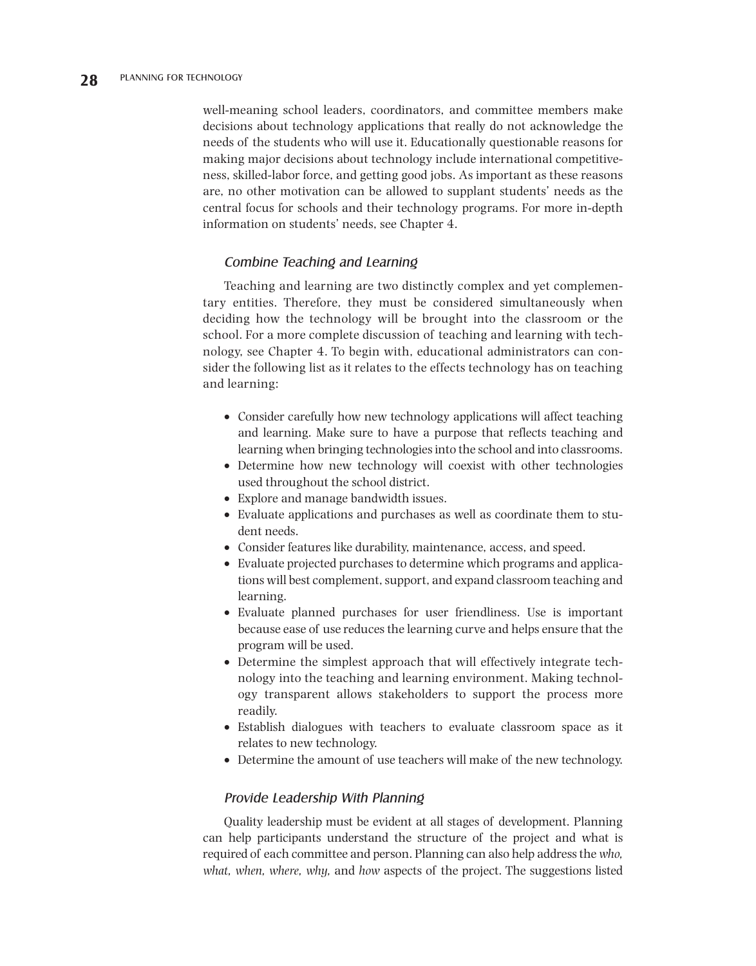well-meaning school leaders, coordinators, and committee members make decisions about technology applications that really do not acknowledge the needs of the students who will use it. Educationally questionable reasons for making major decisions about technology include international competitiveness, skilled-labor force, and getting good jobs. As important as these reasons are, no other motivation can be allowed to supplant students' needs as the central focus for schools and their technology programs. For more in-depth information on students' needs, see Chapter 4.

#### Combine Teaching and Learning

Teaching and learning are two distinctly complex and yet complementary entities. Therefore, they must be considered simultaneously when deciding how the technology will be brought into the classroom or the school. For a more complete discussion of teaching and learning with technology, see Chapter 4. To begin with, educational administrators can consider the following list as it relates to the effects technology has on teaching and learning:

- Consider carefully how new technology applications will affect teaching and learning. Make sure to have a purpose that reflects teaching and learning when bringing technologies into the school and into classrooms.
- Determine how new technology will coexist with other technologies used throughout the school district.
- Explore and manage bandwidth issues.
- Evaluate applications and purchases as well as coordinate them to student needs.
- Consider features like durability, maintenance, access, and speed.
- Evaluate projected purchases to determine which programs and applications will best complement, support, and expand classroom teaching and learning.
- Evaluate planned purchases for user friendliness. Use is important because ease of use reduces the learning curve and helps ensure that the program will be used.
- Determine the simplest approach that will effectively integrate technology into the teaching and learning environment. Making technology transparent allows stakeholders to support the process more readily.
- Establish dialogues with teachers to evaluate classroom space as it relates to new technology.
- Determine the amount of use teachers will make of the new technology.

## Provide Leadership With Planning

Quality leadership must be evident at all stages of development. Planning can help participants understand the structure of the project and what is required of each committee and person. Planning can also help address the *who, what, when, where, why,* and *how* aspects of the project. The suggestions listed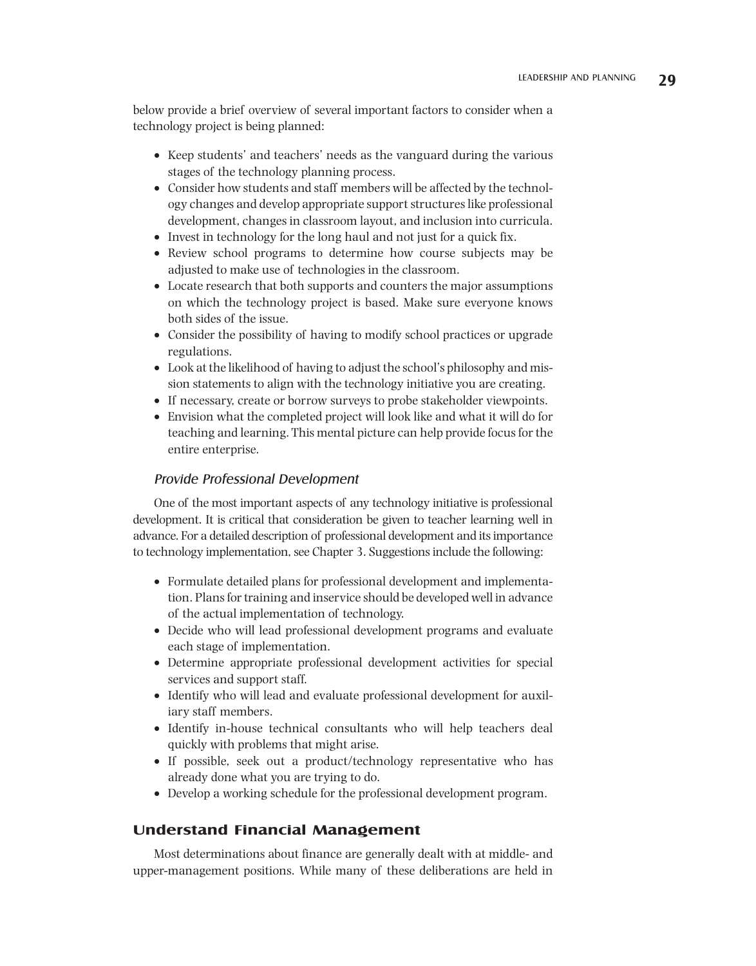below provide a brief overview of several important factors to consider when a technology project is being planned:

- Keep students' and teachers' needs as the vanguard during the various stages of the technology planning process.
- Consider how students and staff members will be affected by the technology changes and develop appropriate support structures like professional development, changes in classroom layout, and inclusion into curricula.
- Invest in technology for the long haul and not just for a quick fix.
- Review school programs to determine how course subjects may be adjusted to make use of technologies in the classroom.
- Locate research that both supports and counters the major assumptions on which the technology project is based. Make sure everyone knows both sides of the issue.
- Consider the possibility of having to modify school practices or upgrade regulations.
- Look at the likelihood of having to adjust the school's philosophy and mission statements to align with the technology initiative you are creating.
- If necessary, create or borrow surveys to probe stakeholder viewpoints.
- Envision what the completed project will look like and what it will do for teaching and learning. This mental picture can help provide focus for the entire enterprise.

#### Provide Professional Development

One of the most important aspects of any technology initiative is professional development. It is critical that consideration be given to teacher learning well in advance. For a detailed description of professional development and its importance to technology implementation, see Chapter 3. Suggestions include the following:

- Formulate detailed plans for professional development and implementation. Plans for training and inservice should be developed well in advance of the actual implementation of technology.
- Decide who will lead professional development programs and evaluate each stage of implementation.
- Determine appropriate professional development activities for special services and support staff.
- Identify who will lead and evaluate professional development for auxiliary staff members.
- Identify in-house technical consultants who will help teachers deal quickly with problems that might arise.
- If possible, seek out a product/technology representative who has already done what you are trying to do.
- Develop a working schedule for the professional development program.

## **Understand Financial Management**

Most determinations about finance are generally dealt with at middle- and upper-management positions. While many of these deliberations are held in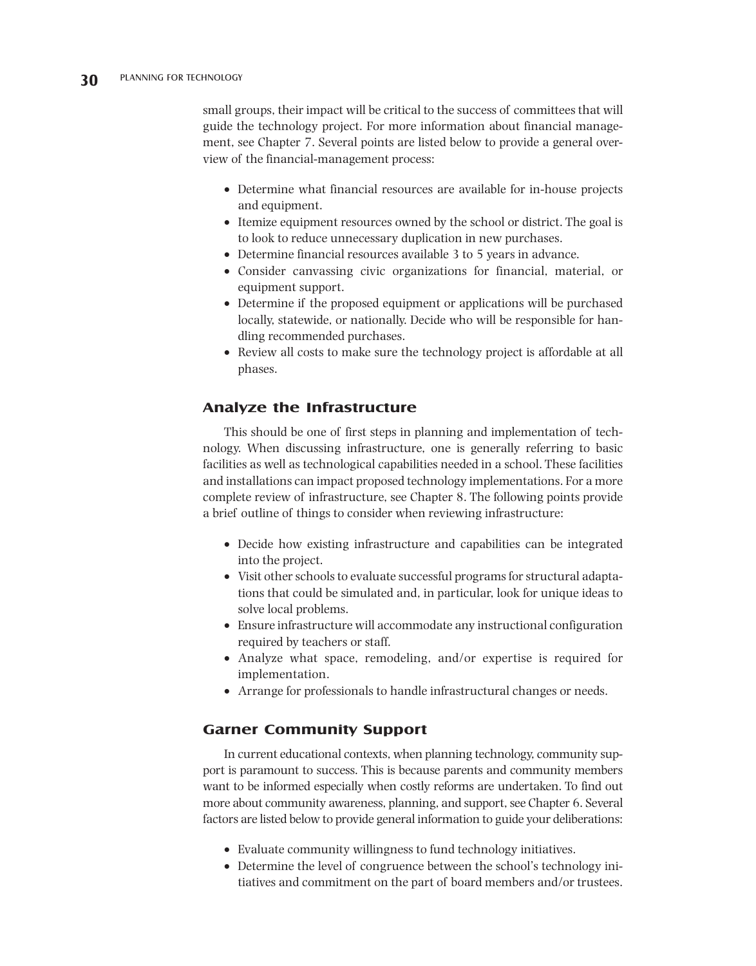#### **30** PLANNING FOR TECHNOLOGY

small groups, their impact will be critical to the success of committees that will guide the technology project. For more information about financial management, see Chapter 7. Several points are listed below to provide a general overview of the financial-management process:

- Determine what financial resources are available for in-house projects and equipment.
- Itemize equipment resources owned by the school or district. The goal is to look to reduce unnecessary duplication in new purchases.
- Determine financial resources available 3 to 5 years in advance.
- Consider canvassing civic organizations for financial, material, or equipment support.
- Determine if the proposed equipment or applications will be purchased locally, statewide, or nationally. Decide who will be responsible for handling recommended purchases.
- Review all costs to make sure the technology project is affordable at all phases.

## **Analyze the Infrastructure**

This should be one of first steps in planning and implementation of technology. When discussing infrastructure, one is generally referring to basic facilities as well as technological capabilities needed in a school. These facilities and installations can impact proposed technology implementations. For a more complete review of infrastructure, see Chapter 8. The following points provide a brief outline of things to consider when reviewing infrastructure:

- Decide how existing infrastructure and capabilities can be integrated into the project.
- Visit other schools to evaluate successful programs for structural adaptations that could be simulated and, in particular, look for unique ideas to solve local problems.
- Ensure infrastructure will accommodate any instructional configuration required by teachers or staff.
- Analyze what space, remodeling, and/or expertise is required for implementation.
- Arrange for professionals to handle infrastructural changes or needs.

## **Garner Community Support**

In current educational contexts, when planning technology, community support is paramount to success. This is because parents and community members want to be informed especially when costly reforms are undertaken. To find out more about community awareness, planning, and support, see Chapter 6. Several factors are listed below to provide general information to guide your deliberations:

- Evaluate community willingness to fund technology initiatives.
- Determine the level of congruence between the school's technology initiatives and commitment on the part of board members and/or trustees.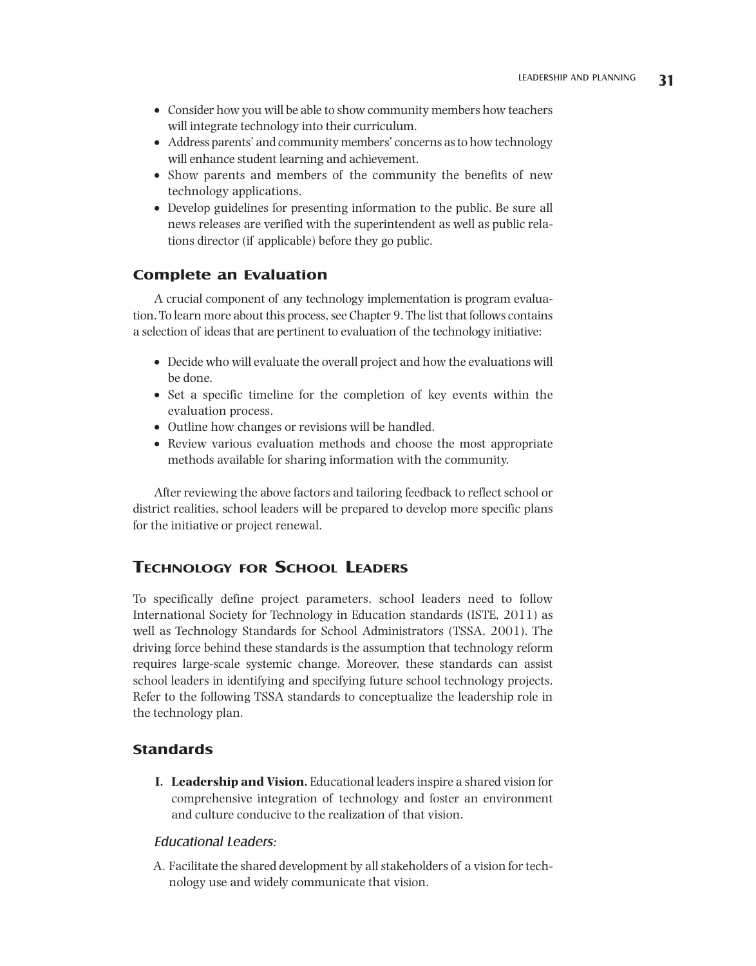- Consider how you will be able to show community members how teachers will integrate technology into their curriculum.
- Address parents' and community members' concerns as to how technology will enhance student learning and achievement.
- Show parents and members of the community the benefits of new technology applications.
- Develop guidelines for presenting information to the public. Be sure all news releases are verified with the superintendent as well as public relations director (if applicable) before they go public.

## **Complete an Evaluation**

A crucial component of any technology implementation is program evaluation. To learn more about this process, see Chapter 9. The list that follows contains a selection of ideas that are pertinent to evaluation of the technology initiative:

- Decide who will evaluate the overall project and how the evaluations will be done.
- Set a specific timeline for the completion of key events within the evaluation process.
- Outline how changes or revisions will be handled.
- Review various evaluation methods and choose the most appropriate methods available for sharing information with the community.

After reviewing the above factors and tailoring feedback to reflect school or district realities, school leaders will be prepared to develop more specific plans for the initiative or project renewal.

## **Technology for School Leaders**

To specifically define project parameters, school leaders need to follow International Society for Technology in Education standards (ISTE, 2011) as well as Technology Standards for School Administrators (TSSA, 2001). The driving force behind these standards is the assumption that technology reform requires large-scale systemic change. Moreover, these standards can assist school leaders in identifying and specifying future school technology projects. Refer to the following TSSA standards to conceptualize the leadership role in the technology plan.

## **Standards**

**I. Leadership and Vision.** Educational leaders inspire a shared vision for comprehensive integration of technology and foster an environment and culture conducive to the realization of that vision.

#### Educational Leaders:

A. Facilitate the shared development by all stakeholders of a vision for technology use and widely communicate that vision.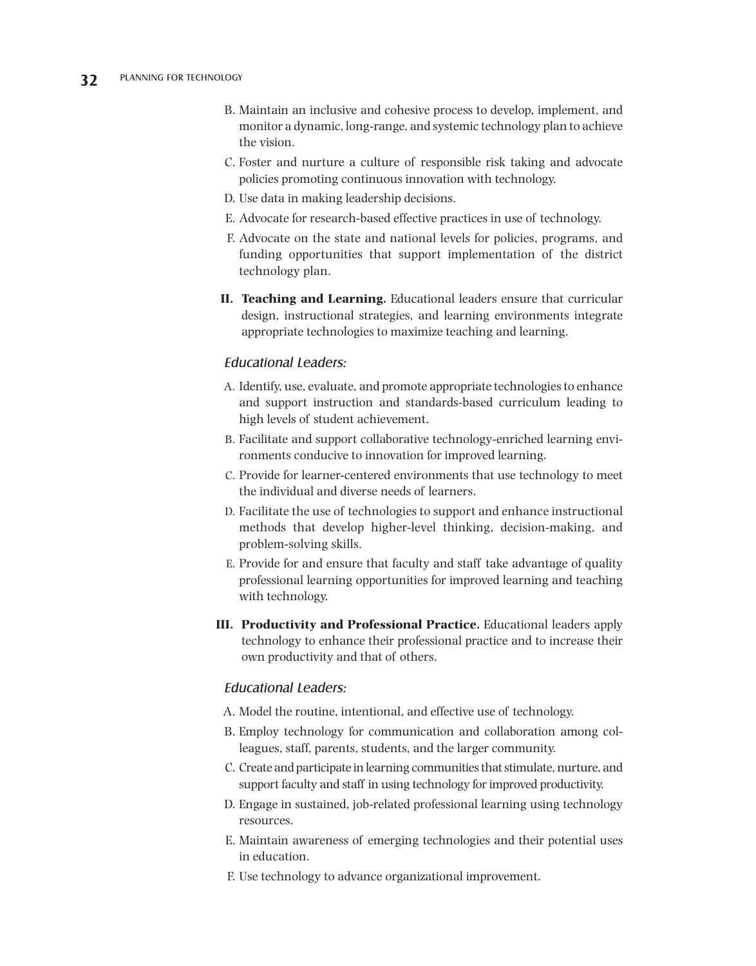- B. Maintain an inclusive and cohesive process to develop, implement, and monitor a dynamic, long-range, and systemic technology plan to achieve the vision.
- C. Foster and nurture a culture of responsible risk taking and advocate policies promoting continuous innovation with technology.
- D. Use data in making leadership decisions.
- E. Advocate for research-based effective practices in use of technology.
- F. Advocate on the state and national levels for policies, programs, and funding opportunities that support implementation of the district technology plan.
- **II. Teaching and Learning.** Educational leaders ensure that curricular design, instructional strategies, and learning environments integrate appropriate technologies to maximize teaching and learning.

## Educational Leaders:

- A. Identify, use, evaluate, and promote appropriate technologies to enhance and support instruction and standards-based curriculum leading to high levels of student achievement.
- B. Facilitate and support collaborative technology-enriched learning environments conducive to innovation for improved learning.
- C. Provide for learner-centered environments that use technology to meet the individual and diverse needs of learners.
- D. Facilitate the use of technologies to support and enhance instructional methods that develop higher-level thinking, decision-making, and problem-solving skills.
- E. Provide for and ensure that faculty and staff take advantage of quality professional learning opportunities for improved learning and teaching with technology.
- **III. Productivity and Professional Practice.** Educational leaders apply technology to enhance their professional practice and to increase their own productivity and that of others.

## Educational Leaders:

- A. Model the routine, intentional, and effective use of technology.
- B. Employ technology for communication and collaboration among colleagues, staff, parents, students, and the larger community.
- C. Create and participate in learning communities that stimulate, nurture, and support faculty and staff in using technology for improved productivity.
- D. Engage in sustained, job-related professional learning using technology resources.
- E. Maintain awareness of emerging technologies and their potential uses in education.
- F. Use technology to advance organizational improvement.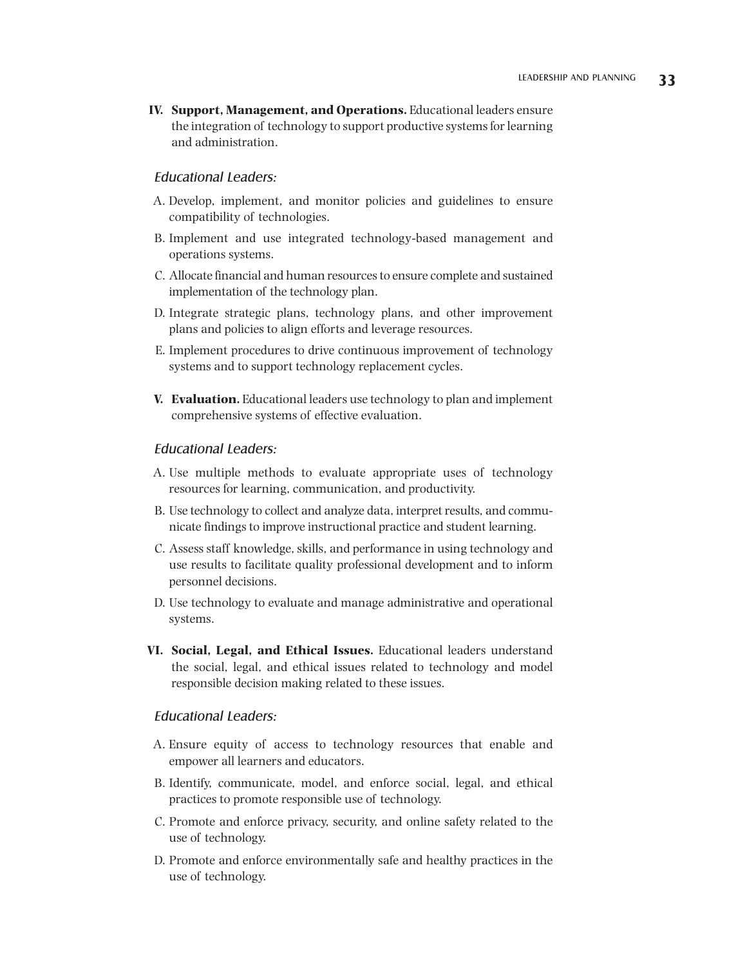**IV. Support, Management, and Operations.** Educational leaders ensure the integration of technology to support productive systems for learning and administration.

## Educational Leaders:

- A. Develop, implement, and monitor policies and guidelines to ensure compatibility of technologies.
- B. Implement and use integrated technology-based management and operations systems.
- C. Allocate financial and human resources to ensure complete and sustained implementation of the technology plan.
- D. Integrate strategic plans, technology plans, and other improvement plans and policies to align efforts and leverage resources.
- E. Implement procedures to drive continuous improvement of technology systems and to support technology replacement cycles.
- **V. Evaluation.** Educational leaders use technology to plan and implement comprehensive systems of effective evaluation.

#### Educational Leaders:

- A. Use multiple methods to evaluate appropriate uses of technology resources for learning, communication, and productivity.
- B. Use technology to collect and analyze data, interpret results, and communicate findings to improve instructional practice and student learning.
- C. Assess staff knowledge, skills, and performance in using technology and use results to facilitate quality professional development and to inform personnel decisions.
- D. Use technology to evaluate and manage administrative and operational systems.
- **VI. Social, Legal, and Ethical Issues.** Educational leaders understand the social, legal, and ethical issues related to technology and model responsible decision making related to these issues.

#### Educational Leaders:

- A. Ensure equity of access to technology resources that enable and empower all learners and educators.
- B. Identify, communicate, model, and enforce social, legal, and ethical practices to promote responsible use of technology.
- C. Promote and enforce privacy, security, and online safety related to the use of technology.
- D. Promote and enforce environmentally safe and healthy practices in the use of technology.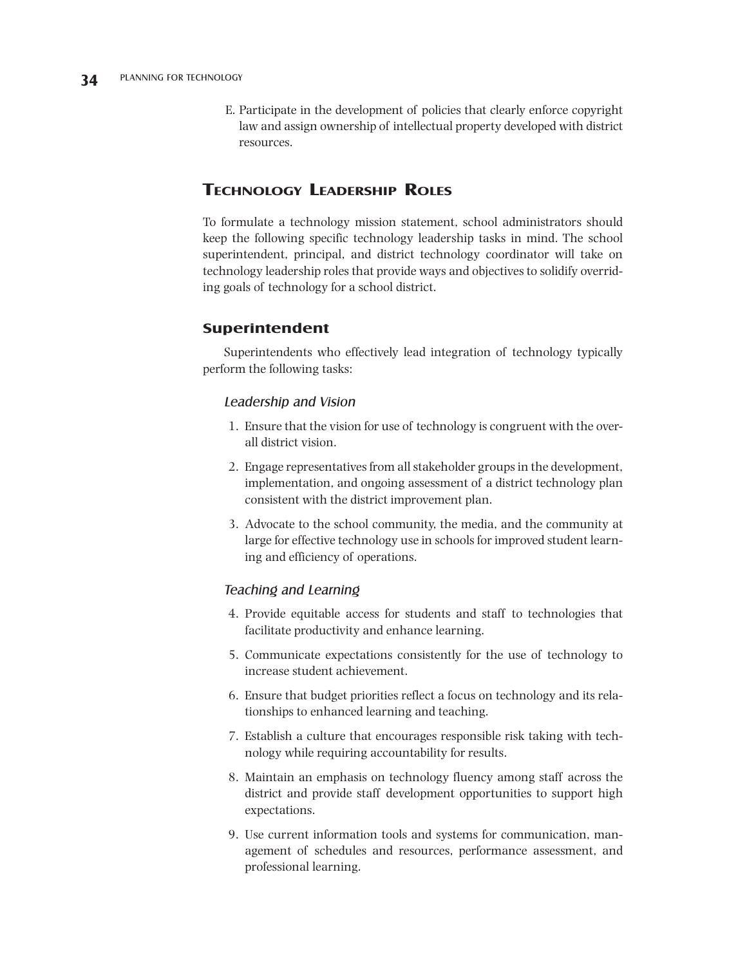E. Participate in the development of policies that clearly enforce copyright law and assign ownership of intellectual property developed with district resources.

## **Technology Leadership Roles**

To formulate a technology mission statement, school administrators should keep the following specific technology leadership tasks in mind. The school superintendent, principal, and district technology coordinator will take on technology leadership roles that provide ways and objectives to solidify overriding goals of technology for a school district.

## **Superintendent**

Superintendents who effectively lead integration of technology typically perform the following tasks:

#### Leadership and Vision

- 1. Ensure that the vision for use of technology is congruent with the overall district vision.
- 2. Engage representatives from all stakeholder groups in the development, implementation, and ongoing assessment of a district technology plan consistent with the district improvement plan.
- 3. Advocate to the school community, the media, and the community at large for effective technology use in schools for improved student learning and efficiency of operations.

## Teaching and Learning

- 4. Provide equitable access for students and staff to technologies that facilitate productivity and enhance learning.
- 5. Communicate expectations consistently for the use of technology to increase student achievement.
- 6. Ensure that budget priorities reflect a focus on technology and its relationships to enhanced learning and teaching.
- 7. Establish a culture that encourages responsible risk taking with technology while requiring accountability for results.
- 8. Maintain an emphasis on technology fluency among staff across the district and provide staff development opportunities to support high expectations.
- 9. Use current information tools and systems for communication, management of schedules and resources, performance assessment, and professional learning.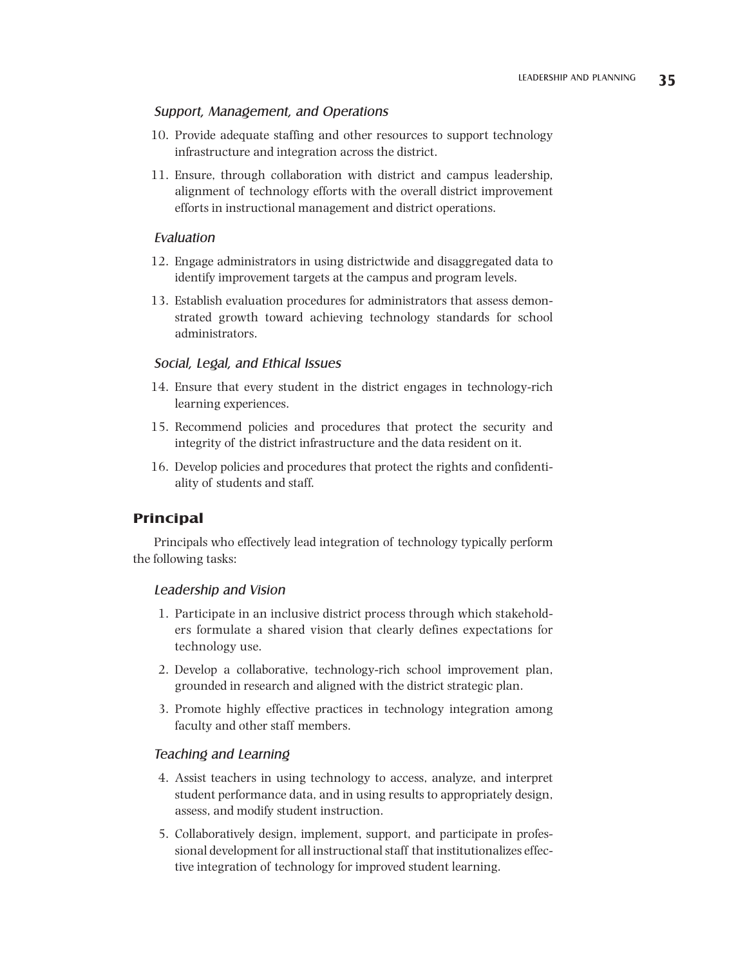#### Support, Management, and Operations

- 10. Provide adequate staffing and other resources to support technology infrastructure and integration across the district.
- 11. Ensure, through collaboration with district and campus leadership, alignment of technology efforts with the overall district improvement efforts in instructional management and district operations.

#### Evaluation

- 12. Engage administrators in using districtwide and disaggregated data to identify improvement targets at the campus and program levels.
- 13. Establish evaluation procedures for administrators that assess demonstrated growth toward achieving technology standards for school administrators.

#### Social, Legal, and Ethical Issues

- 14. Ensure that every student in the district engages in technology-rich learning experiences.
- 15. Recommend policies and procedures that protect the security and integrity of the district infrastructure and the data resident on it.
- 16. Develop policies and procedures that protect the rights and confidentiality of students and staff.

#### **Principal**

Principals who effectively lead integration of technology typically perform the following tasks:

#### Leadership and Vision

- 1. Participate in an inclusive district process through which stakeholders formulate a shared vision that clearly defines expectations for technology use.
- 2. Develop a collaborative, technology-rich school improvement plan, grounded in research and aligned with the district strategic plan.
- 3. Promote highly effective practices in technology integration among faculty and other staff members.

#### Teaching and Learning

- 4. Assist teachers in using technology to access, analyze, and interpret student performance data, and in using results to appropriately design, assess, and modify student instruction.
- 5. Collaboratively design, implement, support, and participate in professional development for all instructional staff that institutionalizes effective integration of technology for improved student learning.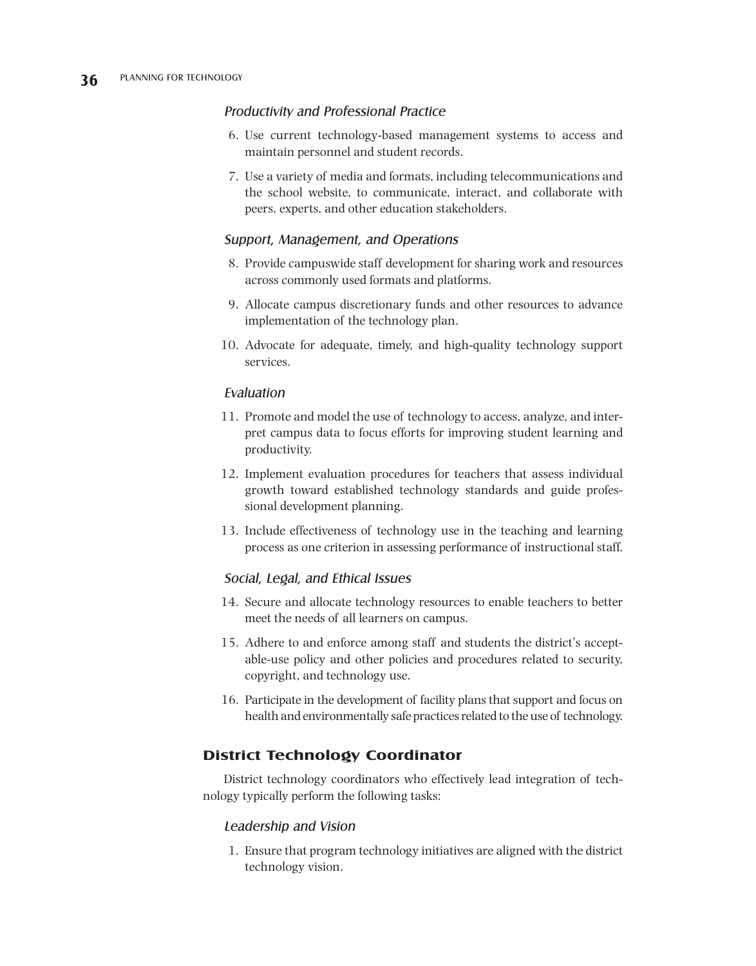## Productivity and Professional Practice

- 6. Use current technology-based management systems to access and maintain personnel and student records.
- 7. Use a variety of media and formats, including telecommunications and the school website, to communicate, interact, and collaborate with peers, experts, and other education stakeholders.

#### Support, Management, and Operations

- 8. Provide campuswide staff development for sharing work and resources across commonly used formats and platforms.
- 9. Allocate campus discretionary funds and other resources to advance implementation of the technology plan.
- 10. Advocate for adequate, timely, and high-quality technology support services.

#### Evaluation

- 11. Promote and model the use of technology to access, analyze, and interpret campus data to focus efforts for improving student learning and productivity.
- 12. Implement evaluation procedures for teachers that assess individual growth toward established technology standards and guide professional development planning.
- 13. Include effectiveness of technology use in the teaching and learning process as one criterion in assessing performance of instructional staff.

#### Social, Legal, and Ethical Issues

- 14. Secure and allocate technology resources to enable teachers to better meet the needs of all learners on campus.
- 15. Adhere to and enforce among staff and students the district's acceptable-use policy and other policies and procedures related to security, copyright, and technology use.
- 16. Participate in the development of facility plans that support and focus on health and environmentally safe practices related to the use of technology.

## **District Technology Coordinator**

District technology coordinators who effectively lead integration of technology typically perform the following tasks:

#### Leadership and Vision

1. Ensure that program technology initiatives are aligned with the district technology vision.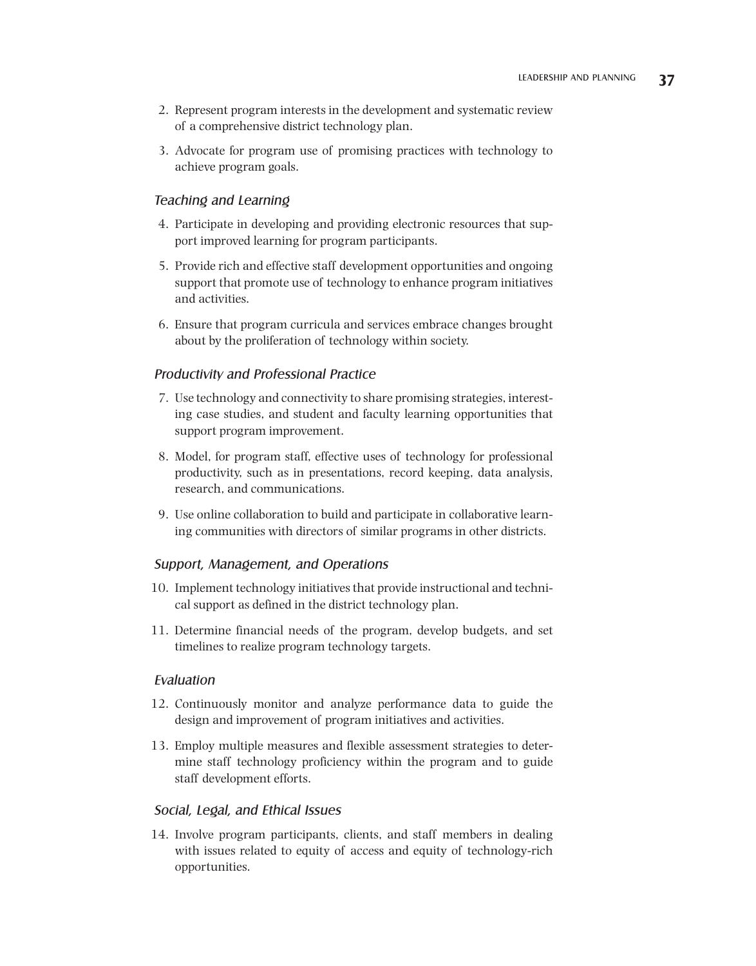- 2. Represent program interests in the development and systematic review of a comprehensive district technology plan.
- 3. Advocate for program use of promising practices with technology to achieve program goals.

## Teaching and Learning

- 4. Participate in developing and providing electronic resources that support improved learning for program participants.
- 5. Provide rich and effective staff development opportunities and ongoing support that promote use of technology to enhance program initiatives and activities.
- 6. Ensure that program curricula and services embrace changes brought about by the proliferation of technology within society.

## Productivity and Professional Practice

- 7. Use technology and connectivity to share promising strategies, interesting case studies, and student and faculty learning opportunities that support program improvement.
- 8. Model, for program staff, effective uses of technology for professional productivity, such as in presentations, record keeping, data analysis, research, and communications.
- 9. Use online collaboration to build and participate in collaborative learning communities with directors of similar programs in other districts.

## Support, Management, and Operations

- 10. Implement technology initiatives that provide instructional and technical support as defined in the district technology plan.
- 11. Determine financial needs of the program, develop budgets, and set timelines to realize program technology targets.

## Evaluation

- 12. Continuously monitor and analyze performance data to guide the design and improvement of program initiatives and activities.
- 13. Employ multiple measures and flexible assessment strategies to determine staff technology proficiency within the program and to guide staff development efforts.

## Social, Legal, and Ethical Issues

14. Involve program participants, clients, and staff members in dealing with issues related to equity of access and equity of technology-rich opportunities.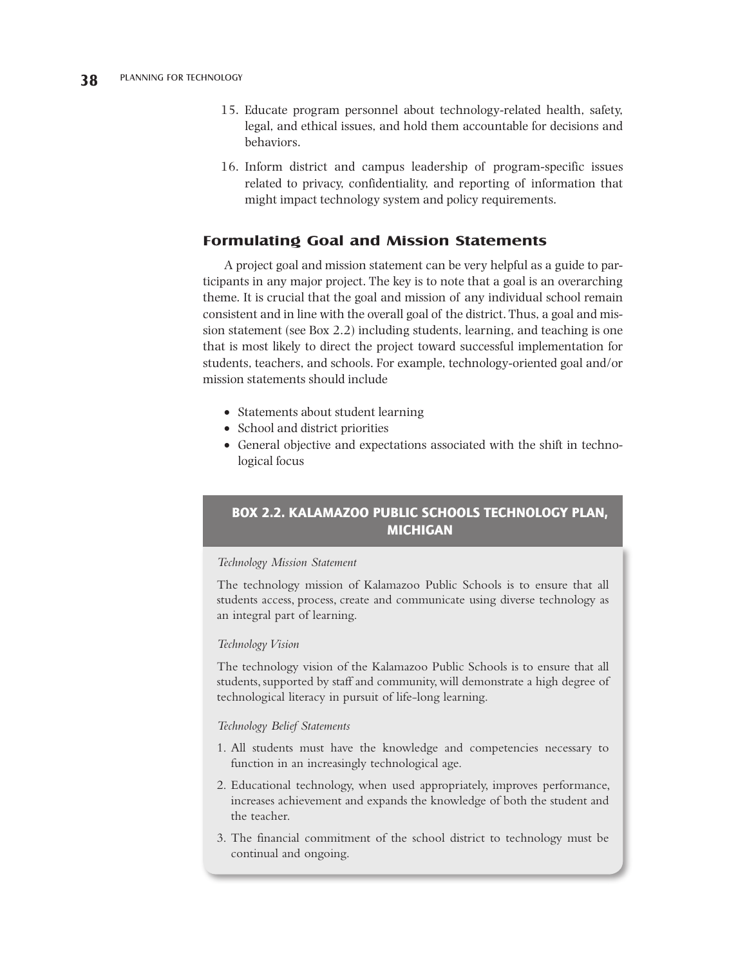- 15. Educate program personnel about technology-related health, safety, legal, and ethical issues, and hold them accountable for decisions and behaviors.
- 16. Inform district and campus leadership of program-specific issues related to privacy, confidentiality, and reporting of information that might impact technology system and policy requirements.

## **Formulating Goal and Mission Statements**

A project goal and mission statement can be very helpful as a guide to participants in any major project. The key is to note that a goal is an overarching theme. It is crucial that the goal and mission of any individual school remain consistent and in line with the overall goal of the district. Thus, a goal and mission statement (see Box 2.2) including students, learning, and teaching is one that is most likely to direct the project toward successful implementation for students, teachers, and schools. For example, technology-oriented goal and/or mission statements should include

- Statements about student learning
- School and district priorities
- General objective and expectations associated with the shift in technological focus

## BOX 2.2. KALAMAZOO PUBLIC SCHOOLS TECHNOLOGY PLAN, MICHIGAN

#### *Technology Mission Statement*

The technology mission of Kalamazoo Public Schools is to ensure that all students access, process, create and communicate using diverse technology as an integral part of learning.

#### *Technology Vision*

The technology vision of the Kalamazoo Public Schools is to ensure that all students, supported by staff and community, will demonstrate a high degree of technological literacy in pursuit of life-long learning.

#### *Technology Belief Statements*

- 1. All students must have the knowledge and competencies necessary to function in an increasingly technological age.
- 2. Educational technology, when used appropriately, improves performance, increases achievement and expands the knowledge of both the student and the teacher.
- 3. The financial commitment of the school district to technology must be continual and ongoing.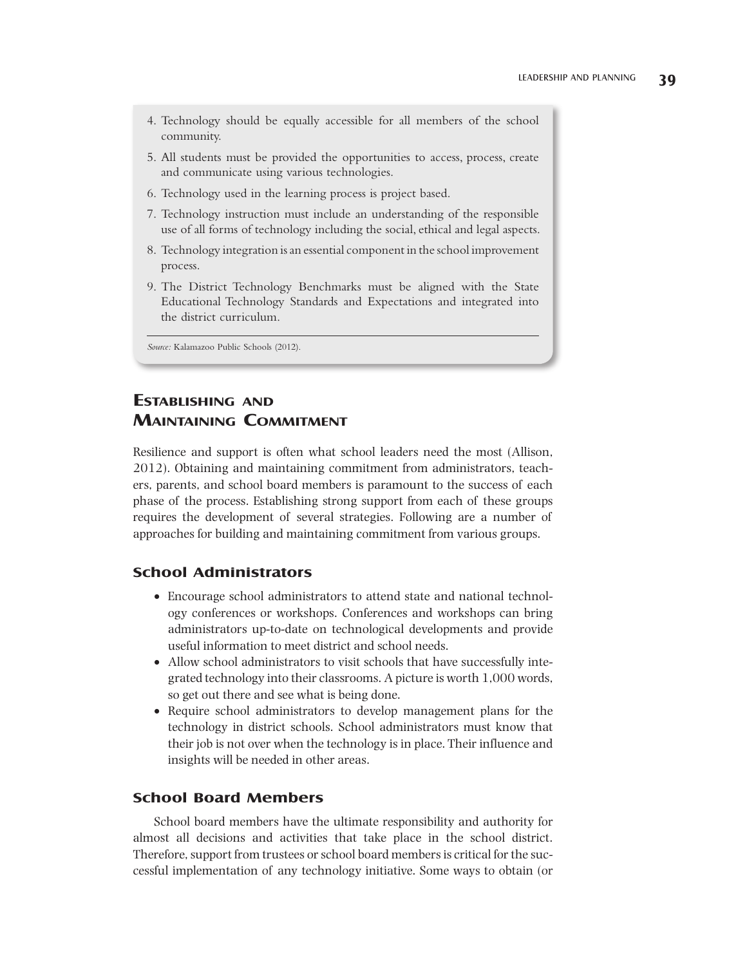- 4. Technology should be equally accessible for all members of the school community.
- 5. All students must be provided the opportunities to access, process, create and communicate using various technologies.
- 6. Technology used in the learning process is project based.
- 7. Technology instruction must include an understanding of the responsible use of all forms of technology including the social, ethical and legal aspects.
- 8. Technology integration is an essential component in the school improvement process.
- 9. The District Technology Benchmarks must be aligned with the State Educational Technology Standards and Expectations and integrated into the district curriculum.

*Source:* Kalamazoo Public Schools (2012).

# **Establishing and Maintaining Commitment**

Resilience and support is often what school leaders need the most (Allison, 2012). Obtaining and maintaining commitment from administrators, teachers, parents, and school board members is paramount to the success of each phase of the process. Establishing strong support from each of these groups requires the development of several strategies. Following are a number of approaches for building and maintaining commitment from various groups.

## **School Administrators**

- Encourage school administrators to attend state and national technology conferences or workshops. Conferences and workshops can bring administrators up-to-date on technological developments and provide useful information to meet district and school needs.
- Allow school administrators to visit schools that have successfully integrated technology into their classrooms. A picture is worth 1,000 words, so get out there and see what is being done.
- Require school administrators to develop management plans for the technology in district schools. School administrators must know that their job is not over when the technology is in place. Their influence and insights will be needed in other areas.

## **School Board Members**

School board members have the ultimate responsibility and authority for almost all decisions and activities that take place in the school district. Therefore, support from trustees or school board members is critical for the successful implementation of any technology initiative. Some ways to obtain (or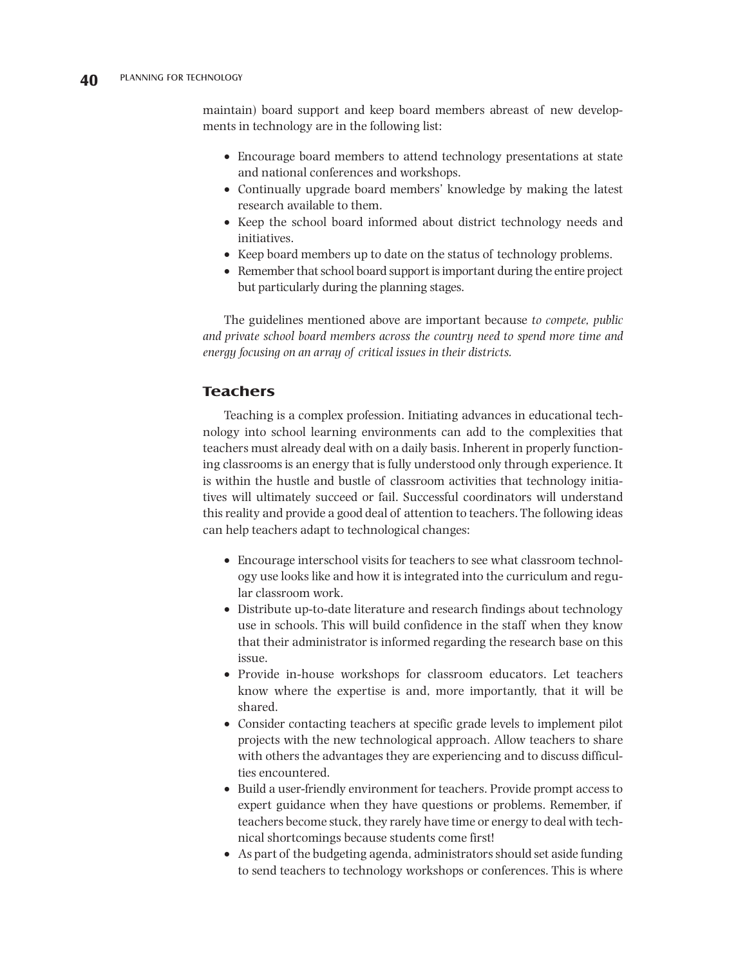maintain) board support and keep board members abreast of new developments in technology are in the following list:

- Encourage board members to attend technology presentations at state and national conferences and workshops.
- Continually upgrade board members' knowledge by making the latest research available to them.
- Keep the school board informed about district technology needs and initiatives.
- Keep board members up to date on the status of technology problems.
- Remember that school board support is important during the entire project but particularly during the planning stages.

The guidelines mentioned above are important because *to compete, public and private school board members across the country need to spend more time and energy focusing on an array of critical issues in their districts.*

## **Teachers**

Teaching is a complex profession. Initiating advances in educational technology into school learning environments can add to the complexities that teachers must already deal with on a daily basis. Inherent in properly functioning classrooms is an energy that is fully understood only through experience. It is within the hustle and bustle of classroom activities that technology initiatives will ultimately succeed or fail. Successful coordinators will understand this reality and provide a good deal of attention to teachers. The following ideas can help teachers adapt to technological changes:

- Encourage interschool visits for teachers to see what classroom technology use looks like and how it is integrated into the curriculum and regular classroom work.
- Distribute up-to-date literature and research findings about technology use in schools. This will build confidence in the staff when they know that their administrator is informed regarding the research base on this issue.
- Provide in-house workshops for classroom educators. Let teachers know where the expertise is and, more importantly, that it will be shared.
- Consider contacting teachers at specific grade levels to implement pilot projects with the new technological approach. Allow teachers to share with others the advantages they are experiencing and to discuss difficulties encountered.
- Build a user-friendly environment for teachers. Provide prompt access to expert guidance when they have questions or problems. Remember, if teachers become stuck, they rarely have time or energy to deal with technical shortcomings because students come first!
- As part of the budgeting agenda, administrators should set aside funding to send teachers to technology workshops or conferences. This is where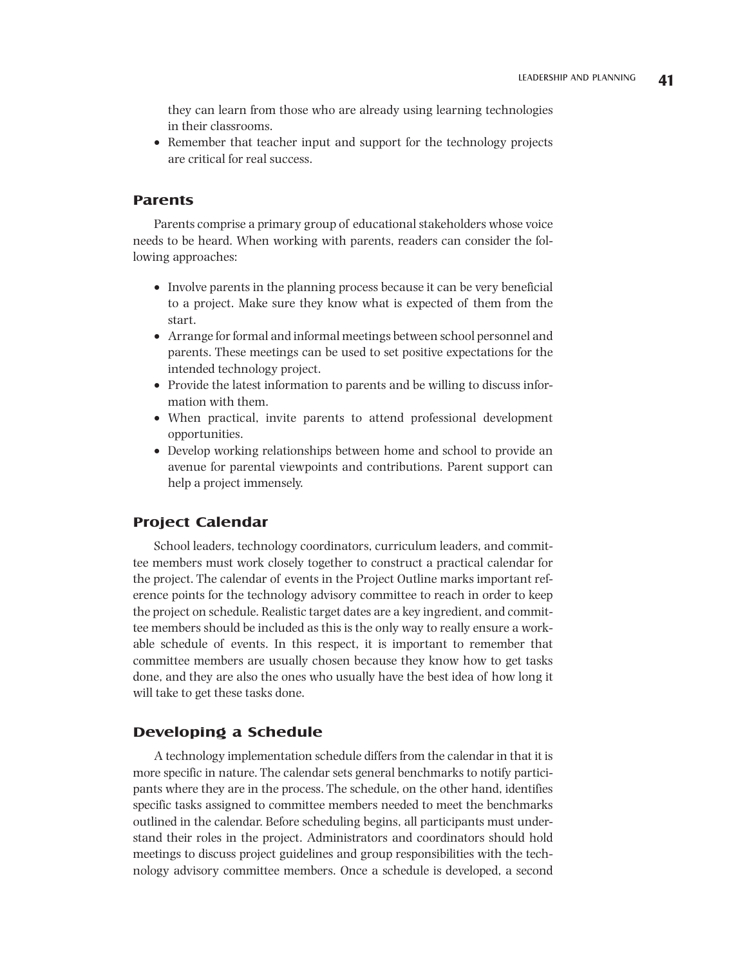they can learn from those who are already using learning technologies in their classrooms.

• Remember that teacher input and support for the technology projects are critical for real success.

#### **Parents**

Parents comprise a primary group of educational stakeholders whose voice needs to be heard. When working with parents, readers can consider the following approaches:

- Involve parents in the planning process because it can be very beneficial to a project. Make sure they know what is expected of them from the start.
- • Arrange for formal and informal meetings between school personnel and parents. These meetings can be used to set positive expectations for the intended technology project.
- Provide the latest information to parents and be willing to discuss information with them.
- When practical, invite parents to attend professional development opportunities.
- Develop working relationships between home and school to provide an avenue for parental viewpoints and contributions. Parent support can help a project immensely.

## **Project Calendar**

School leaders, technology coordinators, curriculum leaders, and committee members must work closely together to construct a practical calendar for the project. The calendar of events in the Project Outline marks important reference points for the technology advisory committee to reach in order to keep the project on schedule. Realistic target dates are a key ingredient, and committee members should be included as this is the only way to really ensure a workable schedule of events. In this respect, it is important to remember that committee members are usually chosen because they know how to get tasks done, and they are also the ones who usually have the best idea of how long it will take to get these tasks done.

#### **Developing a Schedule**

A technology implementation schedule differs from the calendar in that it is more specific in nature. The calendar sets general benchmarks to notify participants where they are in the process. The schedule, on the other hand, identifies specific tasks assigned to committee members needed to meet the benchmarks outlined in the calendar. Before scheduling begins, all participants must understand their roles in the project. Administrators and coordinators should hold meetings to discuss project guidelines and group responsibilities with the technology advisory committee members. Once a schedule is developed, a second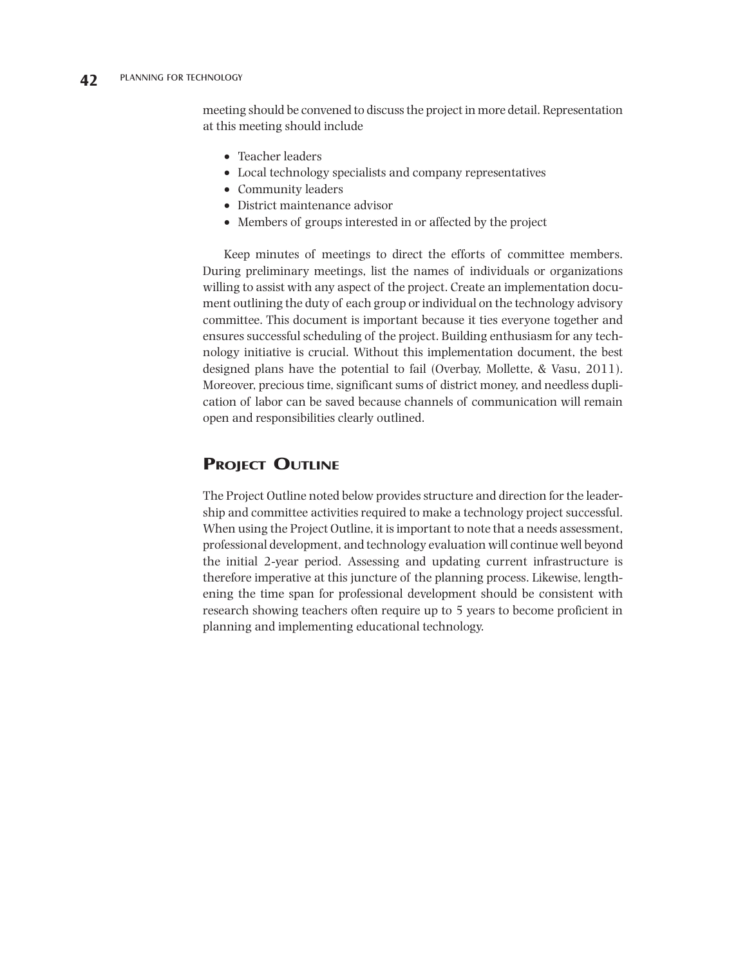#### **42** PLANNING FOR TECHNOLOGY

meeting should be convened to discuss the project in more detail. Representation at this meeting should include

- Teacher leaders
- Local technology specialists and company representatives
- Community leaders
- District maintenance advisor
- Members of groups interested in or affected by the project

Keep minutes of meetings to direct the efforts of committee members. During preliminary meetings, list the names of individuals or organizations willing to assist with any aspect of the project. Create an implementation document outlining the duty of each group or individual on the technology advisory committee. This document is important because it ties everyone together and ensures successful scheduling of the project. Building enthusiasm for any technology initiative is crucial. Without this implementation document, the best designed plans have the potential to fail (Overbay, Mollette, & Vasu, 2011). Moreover, precious time, significant sums of district money, and needless duplication of labor can be saved because channels of communication will remain open and responsibilities clearly outlined.

# **Project Outline**

The Project Outline noted below provides structure and direction for the leadership and committee activities required to make a technology project successful. When using the Project Outline, it is important to note that a needs assessment, professional development, and technology evaluation will continue well beyond the initial 2-year period. Assessing and updating current infrastructure is therefore imperative at this juncture of the planning process. Likewise, lengthening the time span for professional development should be consistent with research showing teachers often require up to 5 years to become proficient in planning and implementing educational technology.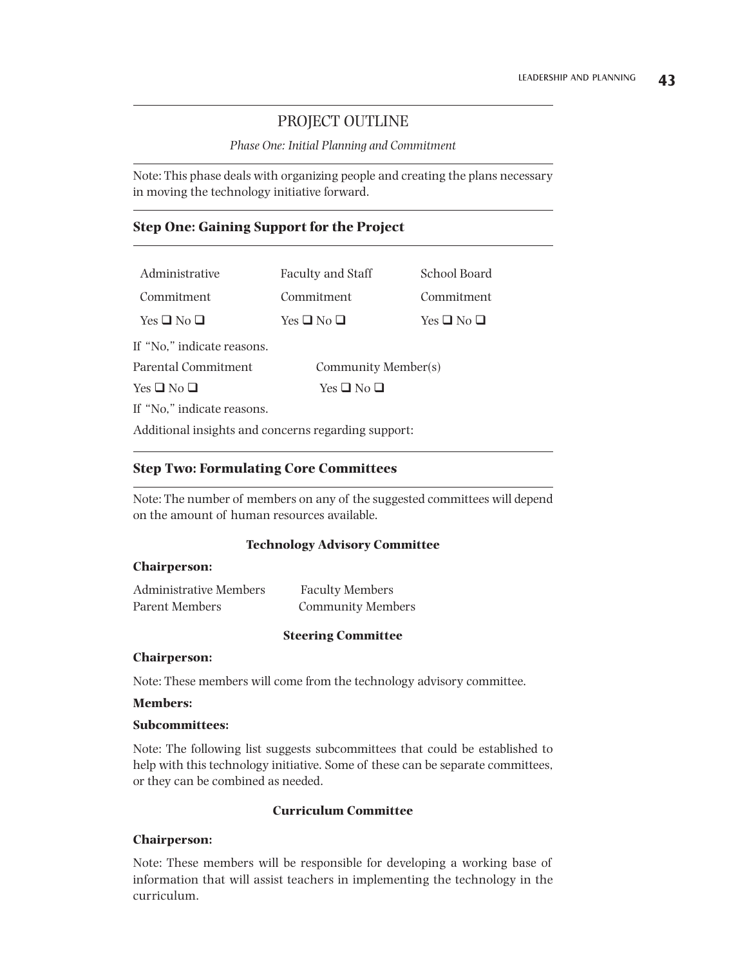## PROJECT OUTLINE

#### *Phase One: Initial Planning and Commitment*

Note: This phase deals with organizing people and creating the plans necessary in moving the technology initiative forward.

## **Step One: Gaining Support for the Project**

| Administrative                                      | <b>Faculty and Staff</b> | School Board       |  |  |
|-----------------------------------------------------|--------------------------|--------------------|--|--|
| Commitment                                          | Commitment               | Commitment         |  |  |
| $Yes \Box No \Box$                                  | Yes □ No □               | $Yes \Box No \Box$ |  |  |
| If "No," indicate reasons.                          |                          |                    |  |  |
| Parental Commitment                                 | Community Member(s)      |                    |  |  |
| $Yes \Box No \Box$                                  | Yes □ No □               |                    |  |  |
| If "No," indicate reasons.                          |                          |                    |  |  |
| Additional insights and concerns regarding support: |                          |                    |  |  |
|                                                     |                          |                    |  |  |

## **Step Two: Formulating Core Committees**

Note: The number of members on any of the suggested committees will depend on the amount of human resources available.

#### **Technology Advisory Committee**

#### **Chairperson:**

| <b>Administrative Members</b> | <b>Faculty Members</b>   |
|-------------------------------|--------------------------|
| Parent Members                | <b>Community Members</b> |

#### **Steering Committee**

#### **Chairperson:**

Note: These members will come from the technology advisory committee.

#### **Members:**

#### **Subcommittees:**

Note: The following list suggests subcommittees that could be established to help with this technology initiative. Some of these can be separate committees, or they can be combined as needed.

#### **Curriculum Committee**

#### **Chairperson:**

Note: These members will be responsible for developing a working base of information that will assist teachers in implementing the technology in the curriculum.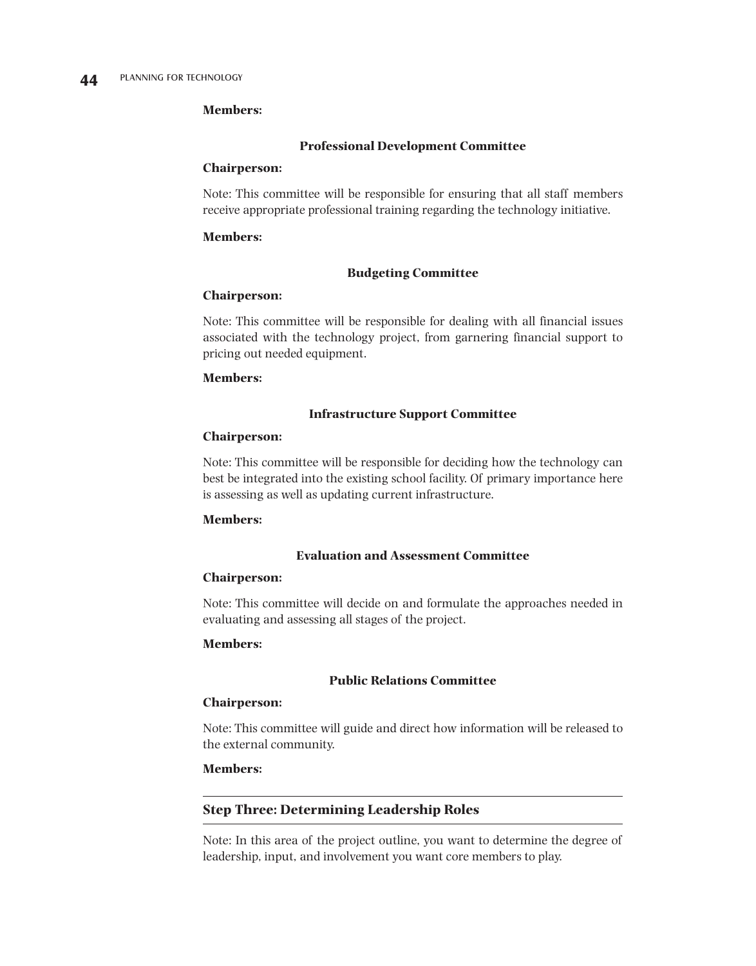#### **Members:**

#### **Professional Development Committee**

#### **Chairperson:**

Note: This committee will be responsible for ensuring that all staff members receive appropriate professional training regarding the technology initiative.

#### **Members:**

#### **Budgeting Committee**

#### **Chairperson:**

Note: This committee will be responsible for dealing with all financial issues associated with the technology project, from garnering financial support to pricing out needed equipment.

#### **Members:**

#### **Infrastructure Support Committee**

#### **Chairperson:**

Note: This committee will be responsible for deciding how the technology can best be integrated into the existing school facility. Of primary importance here is assessing as well as updating current infrastructure.

#### **Members:**

#### **Evaluation and Assessment Committee**

#### **Chairperson:**

Note: This committee will decide on and formulate the approaches needed in evaluating and assessing all stages of the project.

#### **Members:**

#### **Public Relations Committee**

#### **Chairperson:**

Note: This committee will guide and direct how information will be released to the external community.

#### **Members:**

#### **Step Three: Determining Leadership Roles**

Note: In this area of the project outline, you want to determine the degree of leadership, input, and involvement you want core members to play.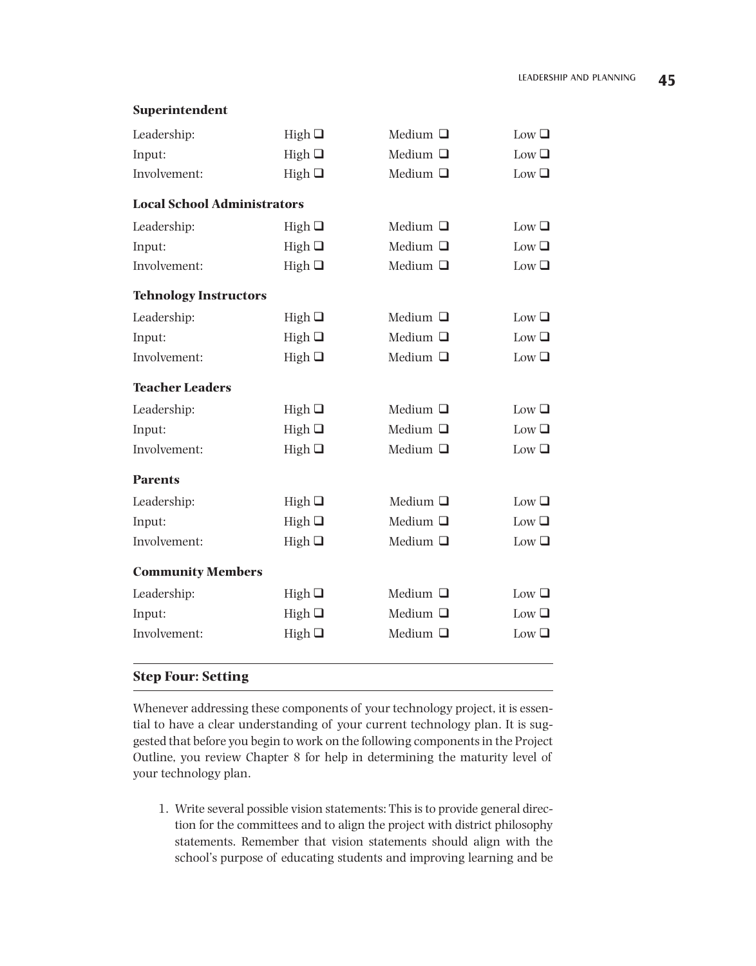#### **Superintendent**

| Leadership:                        | High $\Box$ | Medium $\Box$ | Low $\square$    |
|------------------------------------|-------------|---------------|------------------|
| Input:                             | High $\Box$ | Medium $\Box$ | Low $\square$    |
| Involvement:                       | High $\Box$ | Medium $\Box$ | Low <sup>2</sup> |
| <b>Local School Administrators</b> |             |               |                  |
| Leadership:                        | High $\Box$ | Medium $\Box$ | Low <sup>2</sup> |
| Input:                             | High $\Box$ | Medium $\Box$ | $Low \square$    |
| Involvement:                       | High $\Box$ | Medium $\Box$ | Low $\square$    |
| <b>Tehnology Instructors</b>       |             |               |                  |
| Leadership:                        | High $\Box$ | Medium $\Box$ | Low $\Box$       |
| Input:                             | High $\Box$ | Medium $\Box$ | $Low \square$    |
| Involvement:                       | High $\Box$ | Medium $\Box$ | Low <sub>Q</sub> |
| <b>Teacher Leaders</b>             |             |               |                  |
| Leadership:                        | High $\Box$ | Medium $\Box$ | Low $\square$    |
| Input:                             | High $\Box$ | Medium $\Box$ | $Low \square$    |
| Involvement:                       | High $\Box$ | Medium $\Box$ | Low $\square$    |
| <b>Parents</b>                     |             |               |                  |
| Leadership:                        | High $\Box$ | Medium $\Box$ | $Low \square$    |
| Input:                             | High $\Box$ | Medium $\Box$ | $Low \square$    |
| Involvement:                       | High $\Box$ | Medium $\Box$ | Low $\square$    |
| <b>Community Members</b>           |             |               |                  |
| Leadership:                        | High $\Box$ | Medium $\Box$ | Low $\square$    |
| Input:                             | High $\Box$ | Medium $\Box$ | Low $\square$    |
| Involvement:                       | High $\Box$ | Medium $\Box$ | Low $\square$    |
|                                    |             |               |                  |

#### **Step Four: Setting**

Whenever addressing these components of your technology project, it is essential to have a clear understanding of your current technology plan. It is suggested that before you begin to work on the following components in the Project Outline, you review Chapter 8 for help in determining the maturity level of your technology plan.

1. Write several possible vision statements: This is to provide general direction for the committees and to align the project with district philosophy statements. Remember that vision statements should align with the school's purpose of educating students and improving learning and be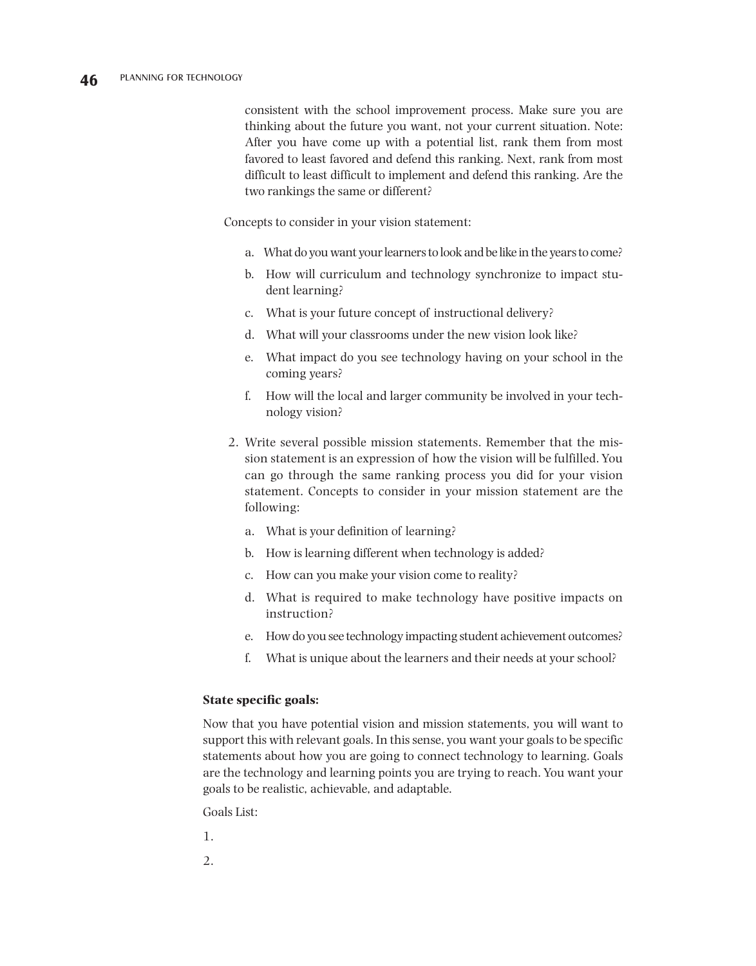consistent with the school improvement process. Make sure you are thinking about the future you want, not your current situation. Note: After you have come up with a potential list, rank them from most favored to least favored and defend this ranking. Next, rank from most difficult to least difficult to implement and defend this ranking. Are the two rankings the same or different?

Concepts to consider in your vision statement:

- a. What do you want your learners to look and be like in the years to come?
- b. How will curriculum and technology synchronize to impact student learning?
- c. What is your future concept of instructional delivery?
- d. What will your classrooms under the new vision look like?
- e. What impact do you see technology having on your school in the coming years?
- f. How will the local and larger community be involved in your technology vision?
- 2. Write several possible mission statements. Remember that the mission statement is an expression of how the vision will be fulfilled. You can go through the same ranking process you did for your vision statement. Concepts to consider in your mission statement are the following:
	- a. What is your definition of learning?
	- b. How is learning different when technology is added?
	- c. How can you make your vision come to reality?
	- d. What is required to make technology have positive impacts on instruction?
	- e. How do you see technology impacting student achievement outcomes?
	- f. What is unique about the learners and their needs at your school?

#### **State specific goals:**

Now that you have potential vision and mission statements, you will want to support this with relevant goals. In this sense, you want your goals to be specific statements about how you are going to connect technology to learning. Goals are the technology and learning points you are trying to reach. You want your goals to be realistic, achievable, and adaptable.

Goals List:

1.

2.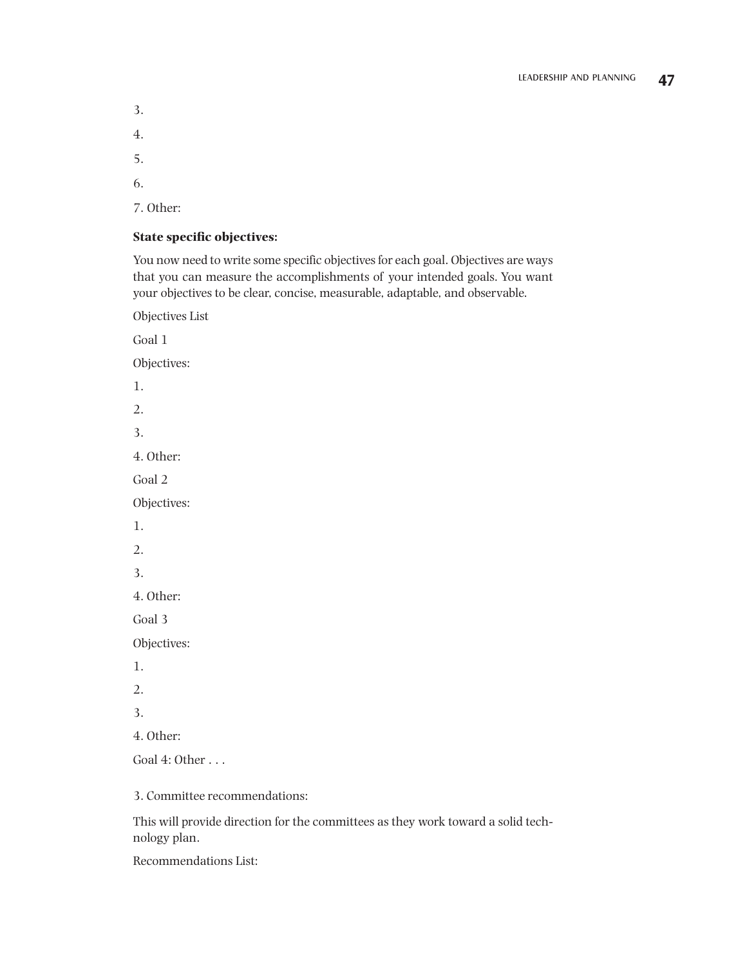3. 4. 5. 6. 7. Other:

#### **State specific objectives:**

You now need to write some specific objectives for each goal. Objectives are ways that you can measure the accomplishments of your intended goals. You want your objectives to be clear, concise, measurable, adaptable, and observable.

Objectives List Goal 1 Objectives: 1. 2. 3. 4. Other: Goal 2 Objectives: 1. 2. 3. 4. Other: Goal 3 Objectives: 1. 2. 3. 4. Other: Goal 4: Other . . .

3. Committee recommendations:

This will provide direction for the committees as they work toward a solid technology plan.

Recommendations List: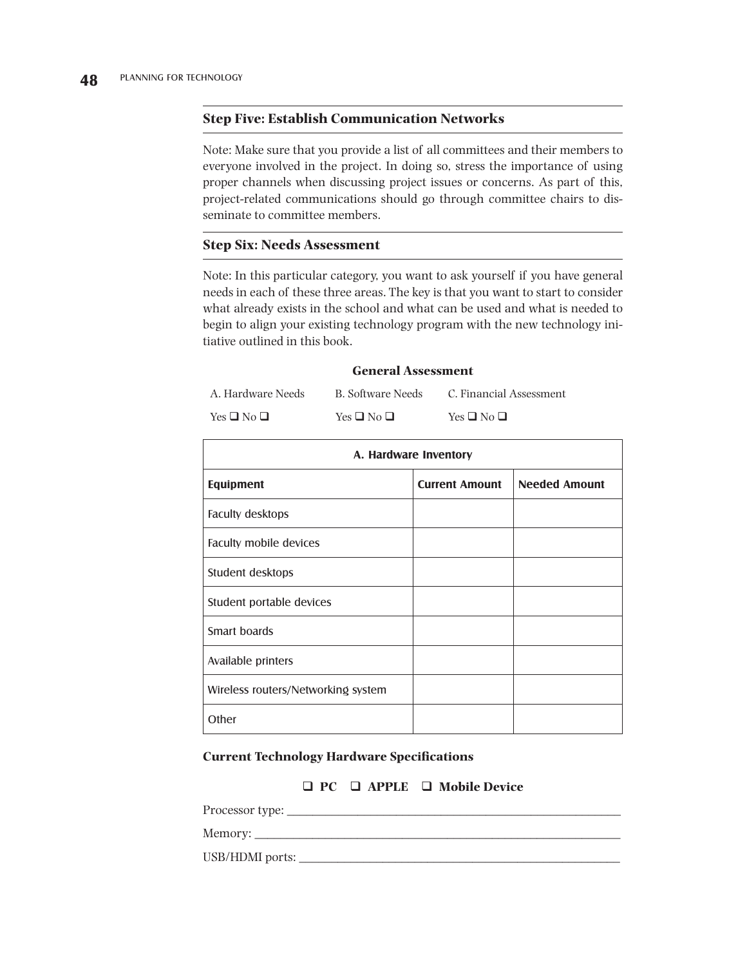#### **Step Five: Establish Communication Networks**

Note: Make sure that you provide a list of all committees and their members to everyone involved in the project. In doing so, stress the importance of using proper channels when discussing project issues or concerns. As part of this, project-related communications should go through committee chairs to disseminate to committee members.

#### **Step Six: Needs Assessment**

Note: In this particular category, you want to ask yourself if you have general needs in each of these three areas. The key is that you want to start to consider what already exists in the school and what can be used and what is needed to begin to align your existing technology program with the new technology initiative outlined in this book.

#### **General Assessment**

| A. Hardware Needs  | B. Software Needs  | C. Financial Assessment |
|--------------------|--------------------|-------------------------|
| $Yes \Box No \Box$ | $Yes \Box No \Box$ | Yes $\Box$ No $\Box$    |

| A. Hardware Inventory              |                       |                      |  |
|------------------------------------|-----------------------|----------------------|--|
| Equipment                          | <b>Current Amount</b> | <b>Needed Amount</b> |  |
| <b>Faculty desktops</b>            |                       |                      |  |
| Faculty mobile devices             |                       |                      |  |
| Student desktops                   |                       |                      |  |
| Student portable devices           |                       |                      |  |
| Smart boards                       |                       |                      |  |
| Available printers                 |                       |                      |  |
| Wireless routers/Networking system |                       |                      |  |
| Other                              |                       |                      |  |

#### **Current Technology Hardware Specifications**

**PC APPLE Mobile Device**

Processor type:

Memory: \_\_\_\_\_\_\_\_\_\_\_\_\_\_\_\_\_\_\_\_\_\_\_\_\_\_\_\_\_\_\_\_\_\_\_\_\_\_\_\_\_\_\_\_\_\_\_\_\_\_\_\_\_\_\_\_\_

USB/HDMI ports: \_\_\_\_\_\_\_\_\_\_\_\_\_\_\_\_\_\_\_\_\_\_\_\_\_\_\_\_\_\_\_\_\_\_\_\_\_\_\_\_\_\_\_\_\_\_\_\_\_\_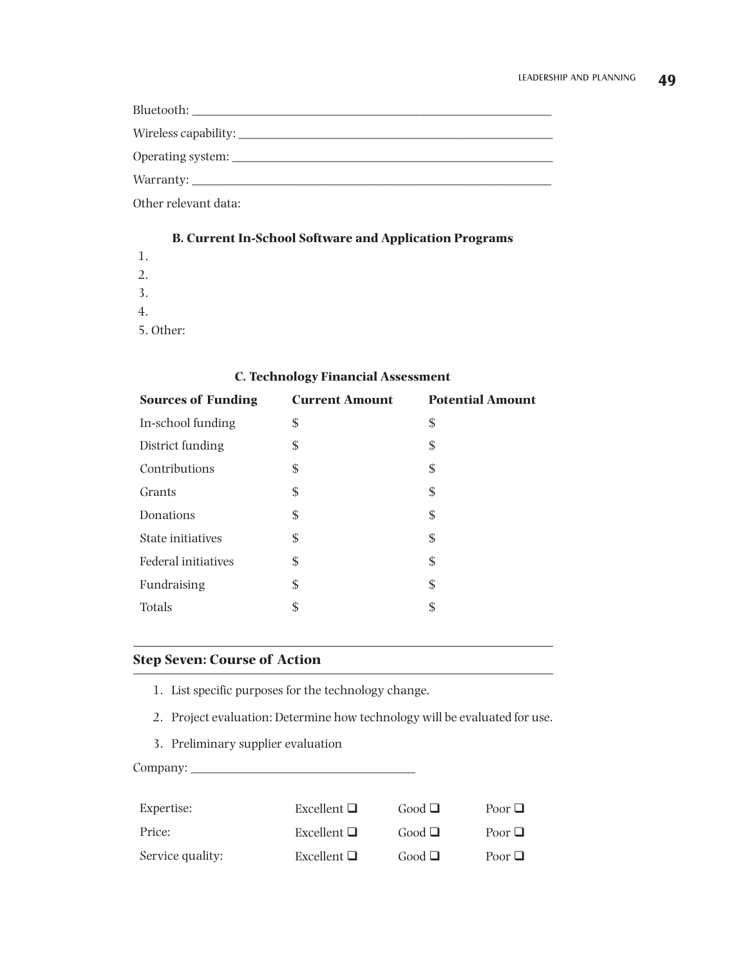Bluetooth: \_\_\_\_\_\_\_\_\_\_\_\_\_\_\_\_\_\_\_\_\_\_\_\_\_\_\_\_\_\_\_\_\_\_\_\_\_\_\_\_\_\_\_\_\_\_\_\_\_\_\_\_\_\_\_\_ Wireless capability: \_\_\_\_\_\_\_\_\_\_\_\_\_\_\_\_\_\_\_\_\_\_\_\_\_\_\_\_\_\_\_\_\_\_\_\_\_\_\_\_\_\_\_\_\_\_\_\_\_ Operating system: \_\_\_\_\_\_\_\_\_\_\_\_\_\_\_\_\_\_\_\_\_\_\_\_\_\_\_\_\_\_\_\_\_\_\_\_\_\_\_\_\_\_\_\_\_\_\_\_\_\_ Warranty: \_\_\_\_\_\_\_\_\_\_\_\_\_\_\_\_\_\_\_\_\_\_\_\_\_\_\_\_\_\_\_\_\_\_\_\_\_\_\_\_\_\_\_\_\_\_\_\_\_\_\_\_\_\_\_\_

Other relevant data:

## **B. Current In-School Software and Application Programs**

1. 2. 3.

4.

# 5. Other:

#### **C. Technology Financial Assessment**

| <b>Current Amount</b> | <b>Potential Amount</b> |
|-----------------------|-------------------------|
| \$                    | \$                      |
| \$                    | S                       |
| \$                    | \$                      |
| \$                    | \$                      |
| \$                    | \$                      |
| \$                    | S                       |
| \$                    | S                       |
| \$                    | \$                      |
| \$                    | \$                      |
|                       |                         |

#### **Step Seven: Course of Action**

- 1. List specific purposes for the technology change.
- 2. Project evaluation: Determine how technology will be evaluated for use.
- 3. Preliminary supplier evaluation

Company: \_\_\_\_\_\_\_\_\_\_\_\_\_\_\_\_\_\_\_\_\_\_\_\_\_\_\_\_\_\_\_\_\_\_\_

| Expertise:       | Excellent $\Box$ | Good $\Box$ | Poor $\Box$ |
|------------------|------------------|-------------|-------------|
| Price:           | Excellent $\Box$ | Good $\Box$ | Poor $\Box$ |
| Service quality: | Excellent $\Box$ | Good $\Box$ | Poor $\Box$ |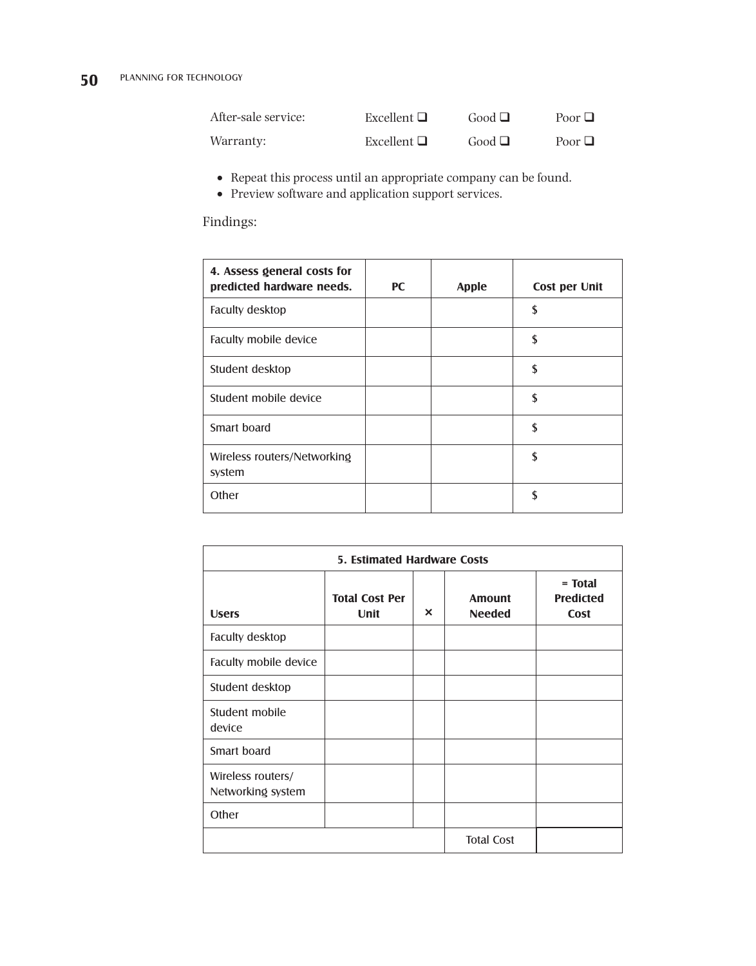| After-sale service: | Excellent $\Box$ | Good $\Box$ | Poor $\Box$ |
|---------------------|------------------|-------------|-------------|
| Warranty:           | Excellent $\Box$ | Good $\Box$ | Poor $\Box$ |

- $\bullet~$  Repeat this process until an appropriate company can be found.
- • Preview software and application support services.

Findings:

| 4. Assess general costs for<br>predicted hardware needs. | <b>PC</b> | <b>Apple</b> | Cost per Unit |
|----------------------------------------------------------|-----------|--------------|---------------|
| Faculty desktop                                          |           |              | \$            |
| Faculty mobile device                                    |           |              | \$            |
| Student desktop                                          |           |              | \$            |
| Student mobile device                                    |           |              | \$            |
| Smart board                                              |           |              | \$            |
| Wireless routers/Networking<br>system                    |           |              | \$            |
| Other                                                    |           |              | \$            |

| <b>5. Estimated Hardware Costs</b>     |                               |   |                                |                                              |
|----------------------------------------|-------------------------------|---|--------------------------------|----------------------------------------------|
| <b>Users</b>                           | <b>Total Cost Per</b><br>Unit | × | <b>Amount</b><br><b>Needed</b> | $=$ Total<br><b>Predicted</b><br><b>Cost</b> |
| Faculty desktop                        |                               |   |                                |                                              |
| Faculty mobile device                  |                               |   |                                |                                              |
| Student desktop                        |                               |   |                                |                                              |
| Student mobile<br>device               |                               |   |                                |                                              |
| Smart board                            |                               |   |                                |                                              |
| Wireless routers/<br>Networking system |                               |   |                                |                                              |
| Other                                  |                               |   |                                |                                              |
| <b>Total Cost</b>                      |                               |   |                                |                                              |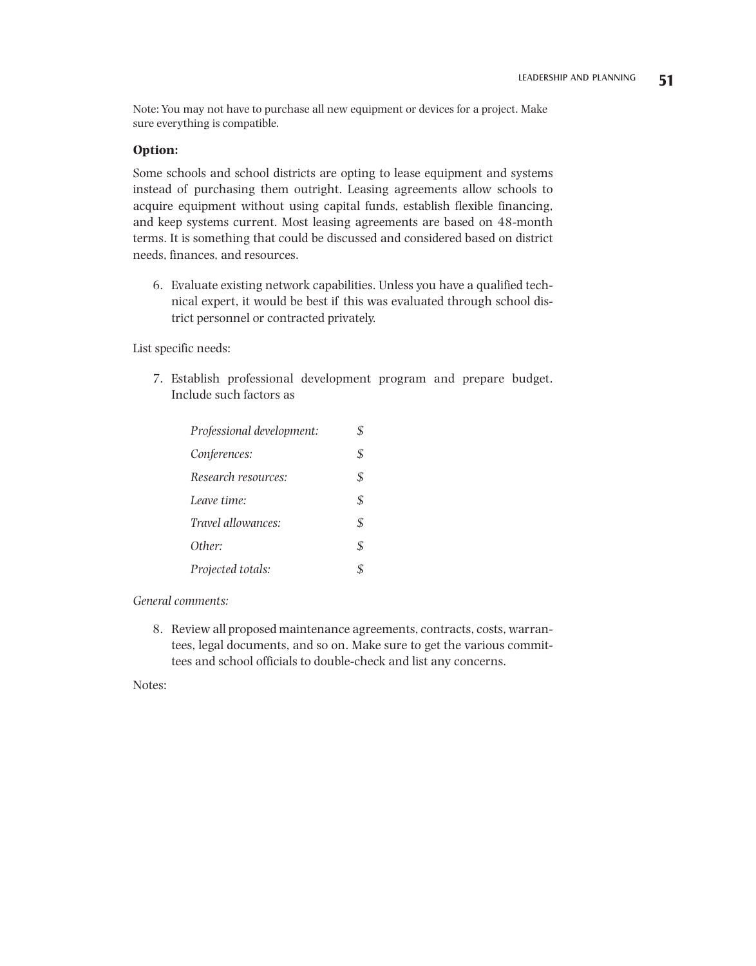Note: You may not have to purchase all new equipment or devices for a project. Make sure everything is compatible.

#### **Option:**

Some schools and school districts are opting to lease equipment and systems instead of purchasing them outright. Leasing agreements allow schools to acquire equipment without using capital funds, establish flexible financing, and keep systems current. Most leasing agreements are based on 48-month terms. It is something that could be discussed and considered based on district needs, finances, and resources.

6. Evaluate existing network capabilities. Unless you have a qualified technical expert, it would be best if this was evaluated through school district personnel or contracted privately.

List specific needs:

7. Establish professional development program and prepare budget. Include such factors as

| Professional development: | Я  |
|---------------------------|----|
| Conferences:              | \$ |
| Research resources:       | Я  |
| Leave time:               | Я  |
| Travel allowances:        | Я  |
| Other:                    | \$ |
| Projected totals:         |    |

*General comments:*

8. Review all proposed maintenance agreements, contracts, costs, warrantees, legal documents, and so on. Make sure to get the various committees and school officials to double-check and list any concerns.

Notes: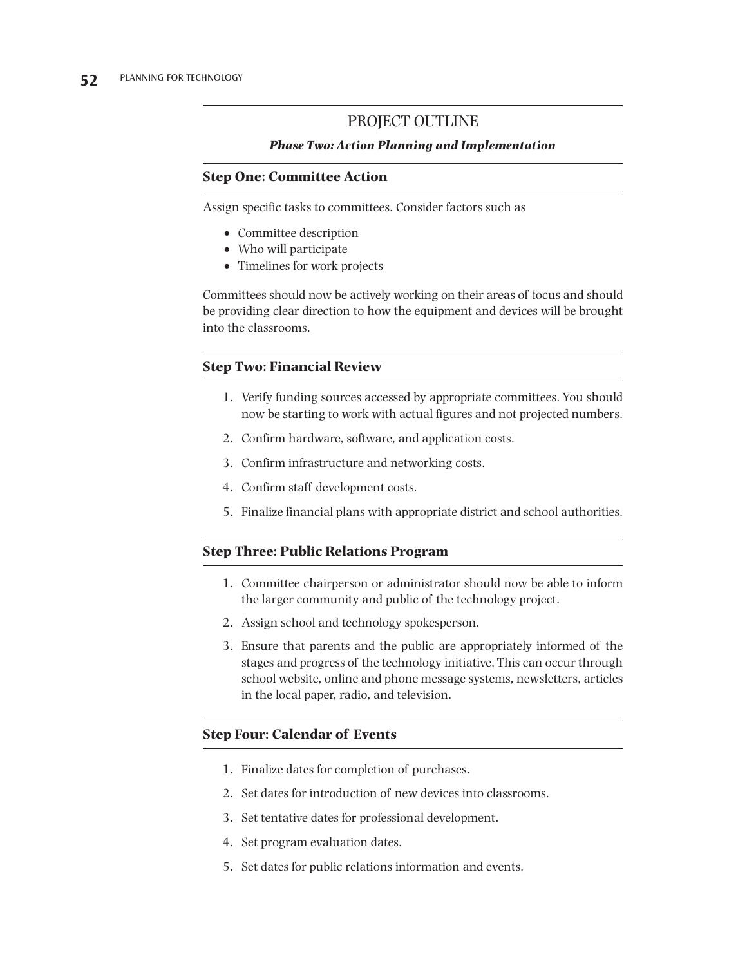## PROJECT OUTLINE

#### *Phase Two: Action Planning and Implementation*

#### **Step One: Committee Action**

Assign specific tasks to committees. Consider factors such as

- Committee description
- Who will participate
- Timelines for work projects

Committees should now be actively working on their areas of focus and should be providing clear direction to how the equipment and devices will be brought into the classrooms.

#### **Step Two: Financial Review**

- 1. Verify funding sources accessed by appropriate committees. You should now be starting to work with actual figures and not projected numbers.
- 2. Confirm hardware, software, and application costs.
- 3. Confirm infrastructure and networking costs.
- 4. Confirm staff development costs.
- 5. Finalize financial plans with appropriate district and school authorities.

#### **Step Three: Public Relations Program**

- 1. Committee chairperson or administrator should now be able to inform the larger community and public of the technology project.
- 2. Assign school and technology spokesperson.
- 3. Ensure that parents and the public are appropriately informed of the stages and progress of the technology initiative. This can occur through school website, online and phone message systems, newsletters, articles in the local paper, radio, and television.

#### **Step Four: Calendar of Events**

- 1. Finalize dates for completion of purchases.
- 2. Set dates for introduction of new devices into classrooms.
- 3. Set tentative dates for professional development.
- 4. Set program evaluation dates.
- 5. Set dates for public relations information and events.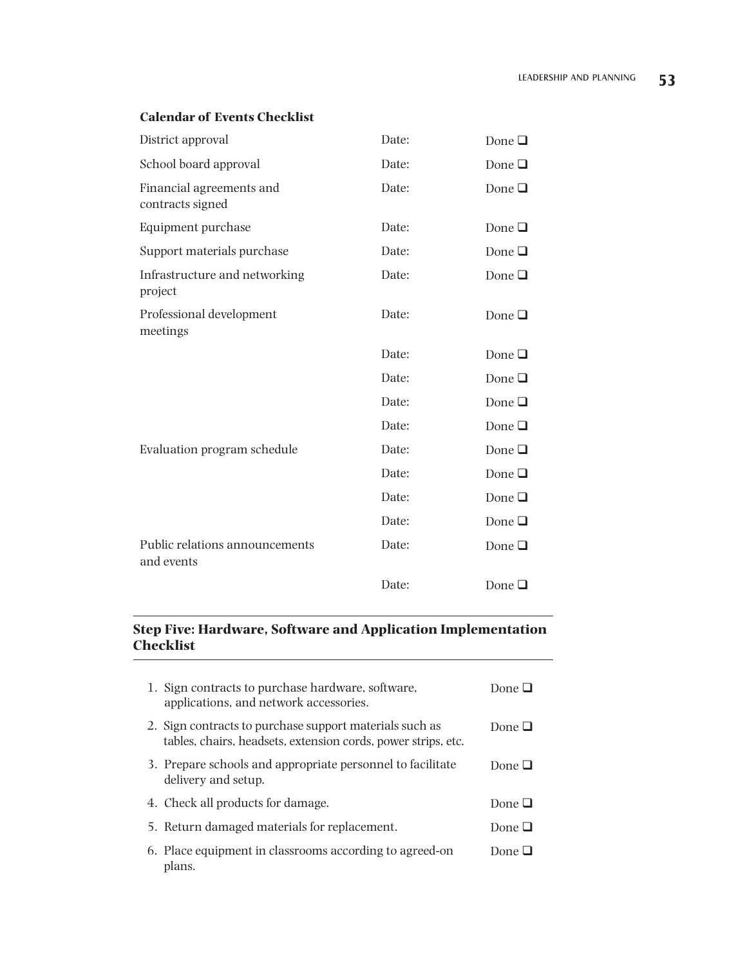## **Calendar of Events Checklist**

| Date: | Done $\square$ |
|-------|----------------|
| Date: | Done $\square$ |
| Date: | Done $\square$ |
| Date: | Done $\square$ |
| Date: | Done $\square$ |
| Date: | Done $\square$ |
| Date: | Done $\square$ |
| Date: | Done $\square$ |
| Date: | Done $\square$ |
| Date: | Done $\square$ |
| Date: | Done $\Box$    |
| Date: | Done $\square$ |
| Date: | Done $\square$ |
| Date: | Done $\square$ |
| Date: | Done $\square$ |
| Date: | Done $\square$ |
| Date: | Done $\square$ |
|       |                |

## **Step Five: Hardware, Software and Application Implementation Checklist**

| 1. Sign contracts to purchase hardware, software,<br>applications, and network accessories.                              | Done $\square$ |
|--------------------------------------------------------------------------------------------------------------------------|----------------|
| 2. Sign contracts to purchase support materials such as<br>tables, chairs, headsets, extension cords, power strips, etc. | Done $\square$ |
| 3. Prepare schools and appropriate personnel to facilitate<br>delivery and setup.                                        | Done $\square$ |
| 4. Check all products for damage.                                                                                        | Done $\square$ |
| 5. Return damaged materials for replacement.                                                                             | Done $\Box$    |
| 6. Place equipment in classrooms according to agreed-on<br>plans.                                                        | Done <b>□</b>  |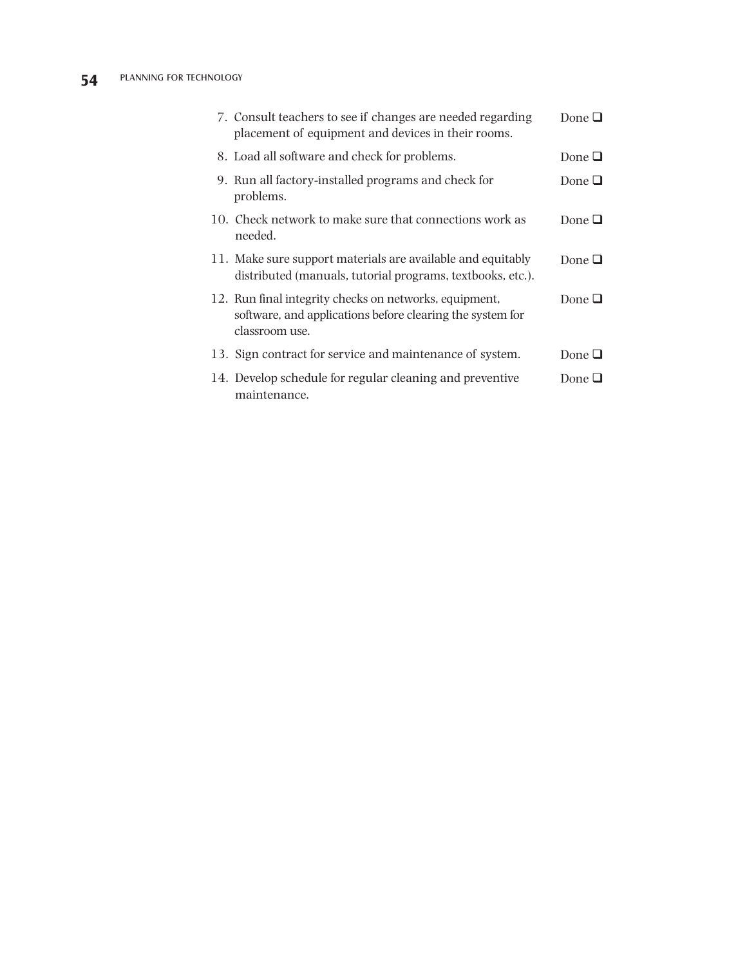| 7. Consult teachers to see if changes are needed regarding<br>placement of equipment and devices in their rooms.                      | Done $\Box$    |
|---------------------------------------------------------------------------------------------------------------------------------------|----------------|
| 8. Load all software and check for problems.                                                                                          | Done $\square$ |
| 9. Run all factory-installed programs and check for<br>problems.                                                                      | Done $\Box$    |
| 10. Check network to make sure that connections work as<br>needed.                                                                    | Done $\square$ |
| 11. Make sure support materials are available and equitably<br>distributed (manuals, tutorial programs, textbooks, etc.).             | Done $\Box$    |
| 12. Run final integrity checks on networks, equipment,<br>software, and applications before clearing the system for<br>classroom use. | Done $\square$ |
| 13. Sign contract for service and maintenance of system.                                                                              | Done $\square$ |
| 14. Develop schedule for regular cleaning and preventive<br>maintenance.                                                              | Done $\square$ |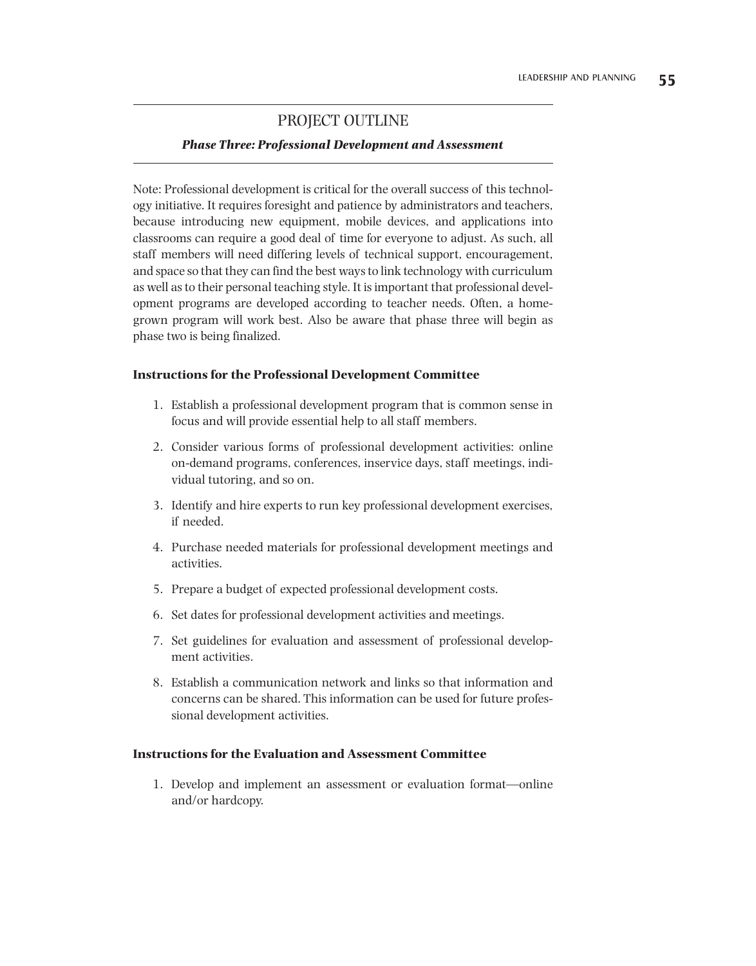## PROJECT OUTLINE

#### *Phase Three: Professional Development and Assessment*

Note: Professional development is critical for the overall success of this technology initiative. It requires foresight and patience by administrators and teachers, because introducing new equipment, mobile devices, and applications into classrooms can require a good deal of time for everyone to adjust. As such, all staff members will need differing levels of technical support, encouragement, and space so that they can find the best ways to link technology with curriculum as well as to their personal teaching style. It is important that professional development programs are developed according to teacher needs. Often, a homegrown program will work best. Also be aware that phase three will begin as phase two is being finalized.

#### **Instructions for the Professional Development Committee**

- 1. Establish a professional development program that is common sense in focus and will provide essential help to all staff members.
- 2. Consider various forms of professional development activities: online on-demand programs, conferences, inservice days, staff meetings, individual tutoring, and so on.
- 3. Identify and hire experts to run key professional development exercises, if needed.
- 4. Purchase needed materials for professional development meetings and activities.
- 5. Prepare a budget of expected professional development costs.
- 6. Set dates for professional development activities and meetings.
- 7. Set guidelines for evaluation and assessment of professional development activities.
- 8. Establish a communication network and links so that information and concerns can be shared. This information can be used for future professional development activities.

#### **Instructions for the Evaluation and Assessment Committee**

1. Develop and implement an assessment or evaluation format—online and/or hardcopy.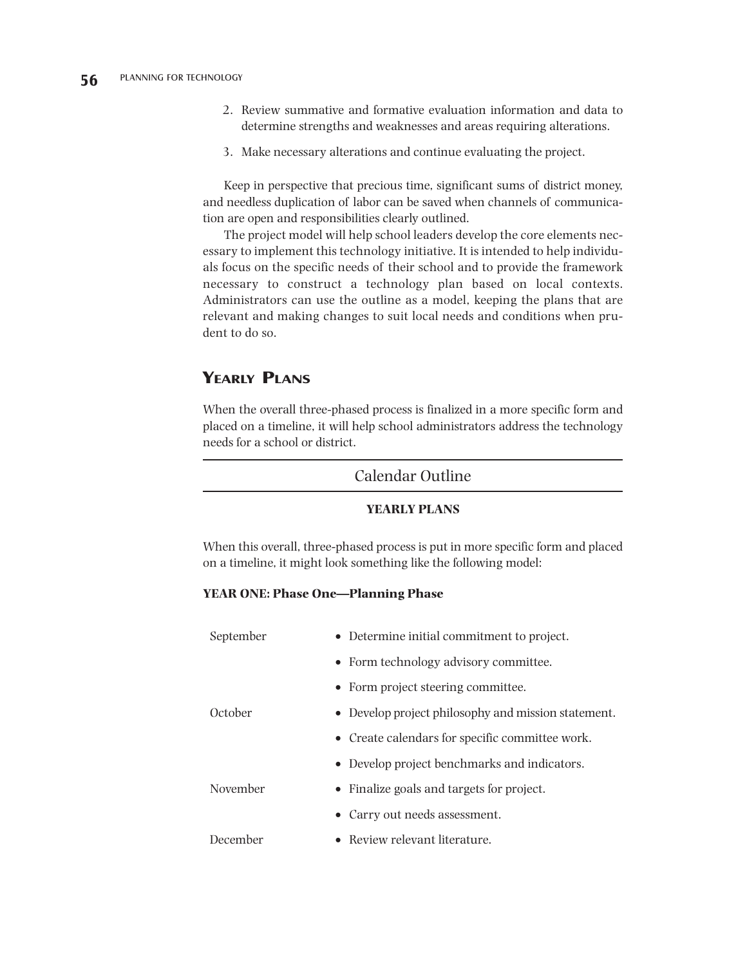- 2. Review summative and formative evaluation information and data to determine strengths and weaknesses and areas requiring alterations.
- 3. Make necessary alterations and continue evaluating the project.

Keep in perspective that precious time, significant sums of district money, and needless duplication of labor can be saved when channels of communication are open and responsibilities clearly outlined.

The project model will help school leaders develop the core elements necessary to implement this technology initiative. It is intended to help individuals focus on the specific needs of their school and to provide the framework necessary to construct a technology plan based on local contexts. Administrators can use the outline as a model, keeping the plans that are relevant and making changes to suit local needs and conditions when prudent to do so.

## **Yearly Plans**

When the overall three-phased process is finalized in a more specific form and placed on a timeline, it will help school administrators address the technology needs for a school or district.

| Calendar Outline |  |
|------------------|--|
|------------------|--|

#### **YEARLY PLANS**

When this overall, three-phased process is put in more specific form and placed on a timeline, it might look something like the following model:

#### **YEAR ONE: Phase One—Planning Phase**

| September | • Determine initial commitment to project.          |
|-----------|-----------------------------------------------------|
|           | • Form technology advisory committee.               |
|           | • Form project steering committee.                  |
| October   | • Develop project philosophy and mission statement. |
|           | • Create calendars for specific committee work.     |
|           | • Develop project benchmarks and indicators.        |
| November  | • Finalize goals and targets for project.           |
|           | • Carry out needs assessment.                       |
| December  | • Review relevant literature.                       |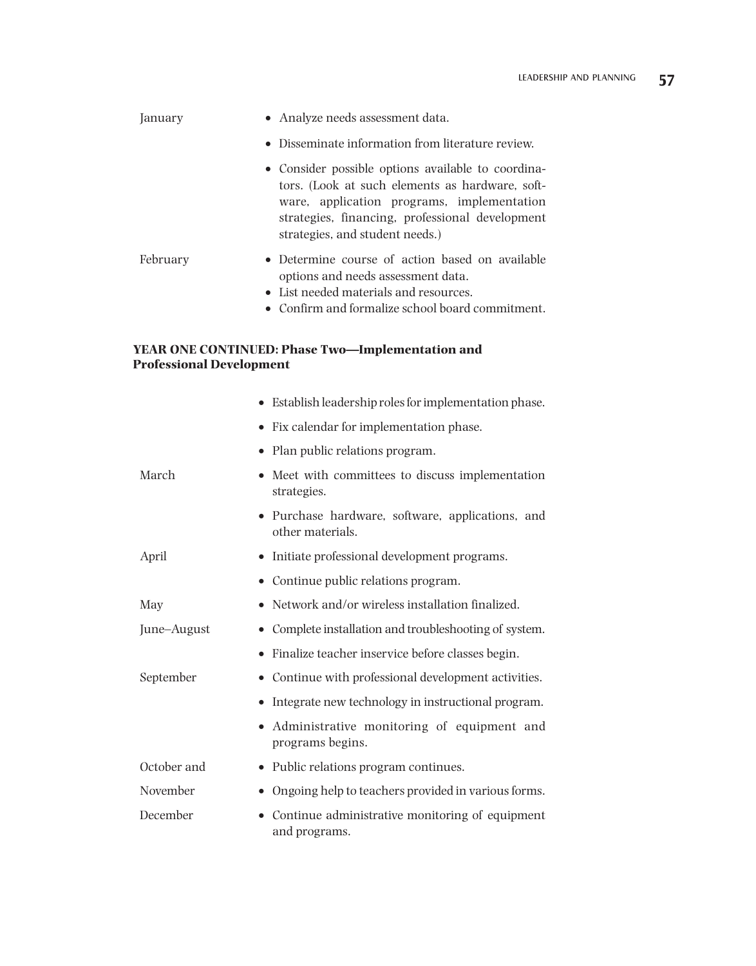| January  | • Analyze needs assessment data.                                                                                                                                                                                                          |
|----------|-------------------------------------------------------------------------------------------------------------------------------------------------------------------------------------------------------------------------------------------|
|          | • Disseminate information from literature review.                                                                                                                                                                                         |
|          | • Consider possible options available to coordina-<br>tors. (Look at such elements as hardware, soft-<br>ware, application programs, implementation<br>strategies, financing, professional development<br>strategies, and student needs.) |
| February | • Determine course of action based on available<br>options and needs assessment data.<br>• List needed materials and resources.                                                                                                           |

• Confirm and formalize school board commitment.

## **YEAR ONE CONTINUED: Phase Two—Implementation and Professional Development**

|             | • Establish leadership roles for implementation phase.               |
|-------------|----------------------------------------------------------------------|
|             | Fix calendar for implementation phase.                               |
|             | Plan public relations program.                                       |
| March       | • Meet with committees to discuss implementation<br>strategies.      |
|             | • Purchase hardware, software, applications, and<br>other materials. |
| April       | • Initiate professional development programs.                        |
|             | Continue public relations program.                                   |
| May         | Network and/or wireless installation finalized.                      |
| June-August | Complete installation and troubleshooting of system.                 |
|             | Finalize teacher inservice before classes begin.                     |
| September   | Continue with professional development activities.                   |
|             | Integrate new technology in instructional program.                   |
|             | Administrative monitoring of equipment and<br>programs begins.       |
| October and | • Public relations program continues.                                |
| November    | Ongoing help to teachers provided in various forms.                  |
| December    | Continue administrative monitoring of equipment<br>and programs.     |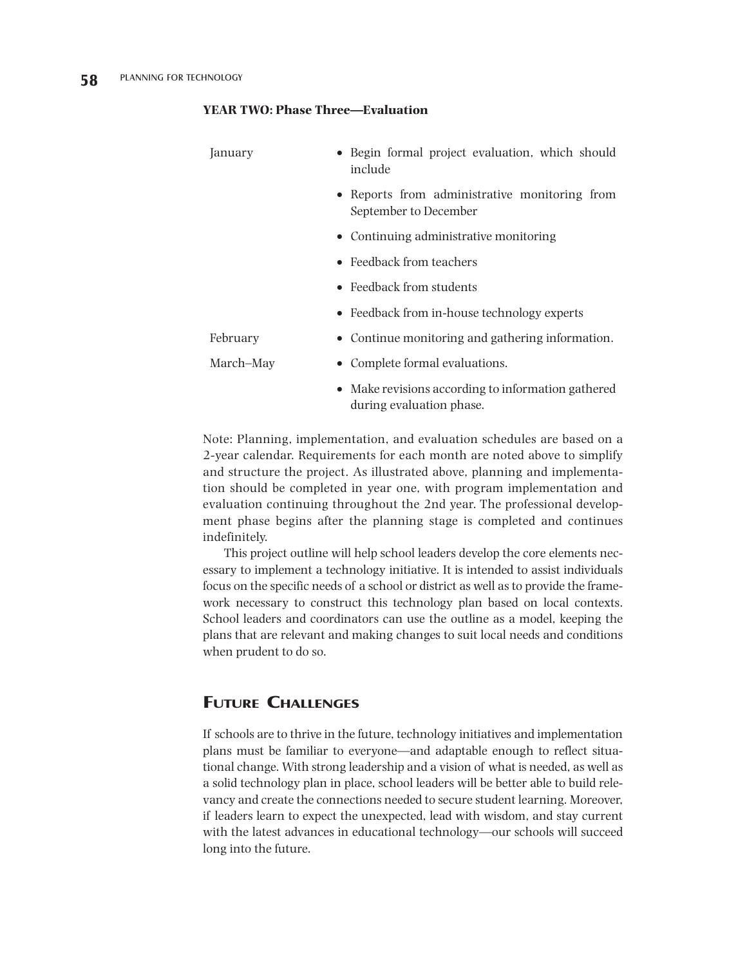#### **YEAR TWO: Phase Three—Evaluation**

| January   | • Begin formal project evaluation, which should<br>include                     |
|-----------|--------------------------------------------------------------------------------|
|           | • Reports from administrative monitoring from<br>September to December         |
|           | • Continuing administrative monitoring                                         |
|           | • Feedback from teachers                                                       |
|           | • Feedback from students                                                       |
|           | • Feedback from in-house technology experts                                    |
| February  | • Continue monitoring and gathering information.                               |
| March-May | • Complete formal evaluations.                                                 |
|           | • Make revisions according to information gathered<br>during evaluation phase. |

Note: Planning, implementation, and evaluation schedules are based on a 2-year calendar. Requirements for each month are noted above to simplify and structure the project. As illustrated above, planning and implementation should be completed in year one, with program implementation and evaluation continuing throughout the 2nd year. The professional development phase begins after the planning stage is completed and continues indefinitely.

This project outline will help school leaders develop the core elements necessary to implement a technology initiative. It is intended to assist individuals focus on the specific needs of a school or district as well as to provide the framework necessary to construct this technology plan based on local contexts. School leaders and coordinators can use the outline as a model, keeping the plans that are relevant and making changes to suit local needs and conditions when prudent to do so.

## **Future Challenges**

If schools are to thrive in the future, technology initiatives and implementation plans must be familiar to everyone—and adaptable enough to reflect situational change. With strong leadership and a vision of what is needed, as well as a solid technology plan in place, school leaders will be better able to build relevancy and create the connections needed to secure student learning. Moreover, if leaders learn to expect the unexpected, lead with wisdom, and stay current with the latest advances in educational technology—our schools will succeed long into the future.